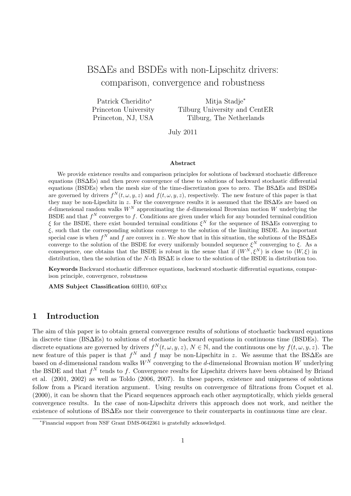# BS∆Es and BSDEs with non-Lipschitz drivers: comparison, convergence and robustness

Patrick Cheridito*<sup>∗</sup>* Princeton University Princeton, NJ, USA

Mitja Stadje*<sup>∗</sup>* Tilburg University and CentER Tilburg, The Netherlands

July 2011

#### **Abstract**

We provide existence results and comparison principles for solutions of backward stochastic difference equations (BS∆Es) and then prove convergence of these to solutions of backward stochastic differential equations (BSDEs) when the mesh size of the time-discretizaton goes to zero. The BS∆Es and BSDEs are governed by drivers  $f^N(t, \omega, y, z)$  and  $f(t, \omega, y, z)$ , respectively. The new feature of this paper is that they may be non-Lipschitz in *z*. For the convergence results it is assumed that the BS∆Es are based on *d*-dimensional random walks *W<sup>N</sup>* approximating the *d*-dimensional Brownian motion *W* underlying the BSDE and that  $f^N$  converges to  $f$ . Conditions are given under which for any bounded terminal condition *ξ* for the BSDE, there exist bounded terminal conditions *ξ <sup>N</sup>* for the sequence of BS∆Es converging to *ξ*, such that the corresponding solutions converge to the solution of the limiting BSDE. An important special case is when  $f^N$  and  $f$  are convex in  $z$ . We show that in this situation, the solutions of the BS $\Delta$ Es converge to the solution of the BSDE for every uniformly bounded sequence  $\xi^N$  converging to  $\xi$ . As a consequence, one obtains that the BSDE is robust in the sense that if  $(W^N, \xi^N)$  is close to  $(W, \xi)$  in distribution, then the solution of the *N*-th BS∆E is close to the solution of the BSDE in distribution too.

**Keywords** Backward stochastic difference equations, backward stochastic differential equations, comparison principle, convergence, robustness

**AMS Subject Classification** 60H10, 60Fxx

## **1 Introduction**

The aim of this paper is to obtain general convergence results of solutions of stochastic backward equations in discrete time (BS∆Es) to solutions of stochastic backward equations in continuous time (BSDEs). The discrete equations are governed by drivers  $f^N(t, \omega, y, z)$ ,  $N \in \mathbb{N}$ , and the continuous one by  $f(t, \omega, y, z)$ . The new feature of this paper is that  $f^N$  and  $f$  may be non-Lipschitz in  $z$ . We assume that the BS $\Delta$ Es are based on *d*-dimensional random walks  $W^N$  converging to the *d*-dimensional Brownian motion *W* underlying the BSDE and that  $f^N$  tends to  $f$ . Convergence results for Lipschitz drivers have been obtained by Briand et al. (2001, 2002) as well as Toldo (2006, 2007). In these papers, existence and uniqueness of solutions follow from a Picard iteration argument. Using results on convergence of filtrations from Coquet et al. (2000), it can be shown that the Picard sequences approach each other asymptotically, which yields general convergence results. In the case of non-Lipschitz drivers this approach does not work, and neither the existence of solutions of BS∆Es nor their convergence to their counterparts in continuous time are clear.

*<sup>∗</sup>*Financial support from NSF Grant DMS-0642361 is gratefully acknowledged.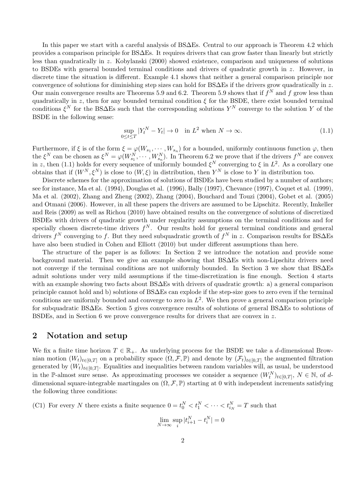In this paper we start with a careful analysis of BS∆Es. Central to our approach is Theorem 4.2 which provides a comparison principle for BS∆Es. It requires drivers that can grow faster than linearly but strictly less than quadratically in *z*. Kobylanski (2000) showed existence, comparison and uniqueness of solutions to BSDEs with general bounded terminal conditions and drivers of quadratic growth in *z*. However, in discrete time the situation is different. Example 4.1 shows that neither a general comparison principle nor convergence of solutions for diminishing step sizes can hold for BS∆Es if the drivers grow quadratically in *z*. Our main convergence results are Theorems 5.9 and 6.2. Theorem 5.9 shows that if  $f^N$  and  $f$  grow less than quadratically in *z*, then for any bounded terminal condition  $\xi$  for the BSDE, there exist bounded terminal conditions  $\xi^N$  for the BS $\Delta$ Es such that the corresponding solutions  $Y^N$  converge to the solution *Y* of the BSDE in the following sense:

$$
\sup_{0 \le t \le T} |Y_t^N - Y_t| \to 0 \quad \text{in } L^2 \text{ when } N \to \infty. \tag{1.1}
$$

Furthermore, if  $\xi$  is of the form  $\xi = \varphi(W_{s_1}, \dots, W_{s_n})$  for a bounded, uniformly continuous function  $\varphi$ , then the  $\xi^N$  can be chosen as  $\xi^N = \varphi(W_{s_1}^N, \dots, W_{s_n}^N)$ . In Theorem 6.2 we prove that if the drivers  $f^N$  are convex in *z*, then (1.1) holds for every sequence of uniformly bounded  $\xi^N$  converging to  $\xi$  in  $L^2$ . As a corollary one obtains that if  $(W^N, \xi^N)$  is close to  $(W, \xi)$  in distribution, then  $Y^N$  is close to  $Y$  in distribution too.

Discrete schemes for the approximation of solutions of BSDEs have been studied by a number of authors; see for instance, Ma et al. (1994), Douglas et al. (1996), Bally (1997), Chevance (1997), Coquet et al. (1999), Ma et al. (2002), Zhang and Zheng (2002), Zhang (2004), Bouchard and Touzi (2004), Gobet et al. (2005) and Otmani (2006). However, in all these papers the drivers are assumed to be Lipschitz. Recently, Imkeller and Reis (2009) as well as Richou (2010) have obtained results on the convergence of solutions of discretized BSDEs with drivers of quadratic growth under regularity assumptions on the terminal conditions and for specially chosen discrete-time drivers  $f^N$ . Our results hold for general terminal conditions and general drivers  $f^N$  converging to  $f$ . But they need subquadratic growth of  $f^N$  in  $z$ . Comparison results for BS $\Delta$ Es have also been studied in Cohen and Elliott (2010) but under different assumptions than here.

The structure of the paper is as follows: In Section 2 we introduce the notation and provide some background material. Then we give an example showing that BS∆Es with non-Lipschitz drivers need not converge if the terminal conditions are not uniformly bounded. In Section 3 we show that BS∆Es admit solutions under very mild assumptions if the time-discretization is fine enough. Section 4 starts with an example showing two facts about BS∆Es with drivers of quadratic growth: a) a general comparison principle cannot hold and b) solutions of BS∆Es can explode if the step-size goes to zero even if the terminal conditions are uniformly bounded and converge to zero in  $L^2$ . We then prove a general comparison principle for subquadratic BS∆Es. Section 5 gives convergence results of solutions of general BS∆Es to solutions of BSDEs, and in Section 6 we prove convergence results for drivers that are convex in *z*.

### **2 Notation and setup**

We fix a finite time horizon  $T \in \mathbb{R}_+$ . As underlying process for the BSDE we take a *d*-dimensional Brownian motion  $(W_t)_{t \in [0,T]}$  on a probability space  $(\Omega, \mathcal{F}, \mathbb{P})$  and denote by  $(\mathcal{F}_t)_{t \in [0,T]}$  the augmented filtration generated by  $(W_t)_{t \in [0,T]}$ . Equalities and inequalities between random variables will, as usual, be understood in the P-almost sure sense. As approximating processes we consider a sequence  $(W_t^N)_{t\in[0,T]}, N \in \mathbb{N}$ , of ddimensional square-integrable martingales on  $(\Omega, \mathcal{F}, \mathbb{P})$  starting at 0 with independent increments satisfying the following three conditions:

(C1) For every *N* there exists a finite sequence  $0 = t_0^N < t_1^N < \cdots < t_{i_N}^N = T$  such that

$$
\lim_{N\to\infty}\sup_i|t_{i+1}^N-t_i^N|=0
$$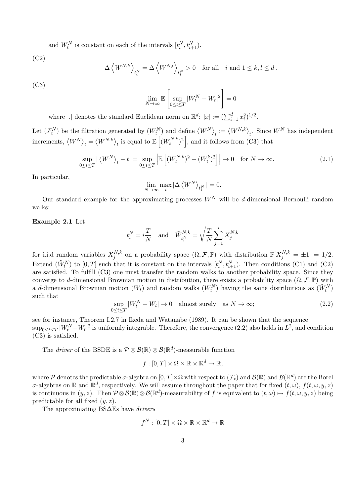and  $W_t^N$  is constant on each of the intervals  $[t_i^N, t_{i+1}^N)$ .

(C2)

$$
\Delta \left_{t_i^N} = \Delta \left_{t_i^N}>0 \quad \text{for all} \quad i \text{ and } 1\leq k,l\leq d\,.
$$

(C3)

$$
\lim_{N\to\infty}\mathbb{E}\left[\sup_{0\leq t\leq T}|W_{t}^{N}-W_{t}|^{2}\right]=0
$$

where  $|.|$  denotes the standard Euclidean norm on  $\mathbb{R}^d$ :  $|x| := (\sum_{i=1}^d x_i^2)^{1/2}$ .

Let  $(\mathcal{F}_t^N)$  be the filtration generated by  $(W_t^N)$  and define  $(W_t^N)_t := \langle W^{N,k} \rangle_t$ . Since  $W^N$  has independent  $\text{increments, } \langle W^N \rangle_t = \langle W^{N,k} \rangle_t$  is equal to  $\mathbb{E} \left[ \langle W_t^{N,k} \rangle \right]$  $\binom{rN,k}{t}^2$ , and it follows from (C3) that

$$
\sup_{0 \le t \le T} |\langle W^N \rangle_t - t| = \sup_{0 \le t \le T} \left| \mathbb{E} \left[ (W_t^{N,k})^2 - (W_t^k)^2 \right] \right| \to 0 \quad \text{for } N \to \infty.
$$
 (2.1)

In particular,

$$
\lim_{N \to \infty} \max_{i} |\Delta \langle W^N \rangle_{t_i^N}| = 0.
$$

Our standard example for the approximating processes  $W^N$  will be *d*-dimensional Bernoulli random walks:

### **Example 2.1** Let

$$
t_i^N = i \frac{T}{N} \quad \text{and} \quad \tilde{W}_{t_i^N}^{N,k} = \sqrt{\frac{T}{N}} \sum_{j=1}^i X_j^{N,k}
$$

for i.i.d random variables  $X_i^{N,k}$  $j^{N,k}$  on a probability space  $(\tilde{\Omega}, \tilde{\mathcal{F}}, \tilde{\mathbb{P}})$  with distribution  $\tilde{\mathbb{P}}[X_j^{N,k} = \pm 1] = 1/2$ . Extend  $(\tilde{W}_t^N)$  to  $[0, T]$  such that it is constant on the intervals  $[t_i^N, t_{i+1}^N)$ . Then conditions (C1) and (C2) are satisfied. To fulfill (C3) one must transfer the random walks to another probability space. Since they converge to *d*-dimensional Brownian motion in distribution, there exists a probability space  $(\Omega, \mathcal{F}, \mathbb{P})$  with a *d*-dimensional Brownian motion  $(W_t)$  and random walks  $(W_t^N)$  having the same distributions as  $(\tilde{W}_t^N)$ such that

$$
\sup_{0 \le t \le T} |W_t^N - W_t| \to 0 \quad \text{almost surely} \quad \text{as } N \to \infty;
$$
\n(2.2)

see for instance, Theorem I.2.7 in Ikeda and Watanabe (1989). It can be shown that the sequence  $\sup_{0 \le t \le T} |W_t^N - W_t|^2$  is uniformly integrable. Therefore, the convergence  $(2.2)$  also holds in  $L^2$ , and condition  $(C3)$  is satisfied.

The *driver* of the BSDE is a  $P \otimes B(\mathbb{R}) \otimes B(\mathbb{R}^d)$ -measurable function

$$
f:[0,T]\times\Omega\times\mathbb{R}\times\mathbb{R}^d\to\mathbb{R},
$$

where  $\mathcal P$  denotes the predictable  $\sigma$ -algebra on  $[0,T]\times\Omega$  with respect to  $(\mathcal F_t)$  and  $\mathcal B(\mathbb R)$  and  $\mathcal B(\mathbb R^d)$  are the Borel *σ*-algebras on  $\mathbb R$  and  $\mathbb R^d$ , respectively. We will assume throughout the paper that for fixed  $(t, \omega)$ ,  $f(t, \omega, y, z)$ is continuous in  $(y, z)$ . Then  $\mathcal{P} \otimes \mathcal{B}(\mathbb{R}) \otimes \mathcal{B}(\mathbb{R}^d)$ -measurability of f is equivalent to  $(t, \omega) \mapsto f(t, \omega, y, z)$  being predictable for all fixed (*y, z*).

The approximating BS∆Es have *drivers*

$$
f^N:[0,T]\times\Omega\times\mathbb{R}\times\mathbb{R}^d\to\mathbb{R}
$$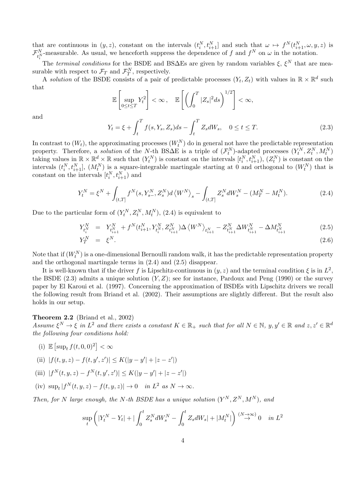that are continuous in  $(y, z)$ , constant on the intervals  $(t_i^N, t_{i+1}^N]$  and such that  $\omega \mapsto f^N(t_{i+1}^N, \omega, y, z)$  is  $\mathcal{F}_{t_i^N}^N$ -measurable. As usual, we henceforth suppress the dependence of *f* and  $f^N$  on  $\omega$  in the notation.

The *terminal conditions* for the BSDE and BS $\Delta$ Es are given by random variables  $\xi$ ,  $\xi^N$  that are measurable with respect to  $\mathcal{F}_T$  and  $\mathcal{F}_T^N$ , respectively. *T*

A *solution* of the BSDE consists of a pair of predictable processes  $(Y_t, Z_t)$  with values in  $\mathbb{R} \times \mathbb{R}^d$  such that

$$
\mathbb{E}\left[\sup_{0\leq t\leq T}Y_t^2\right]<\infty,\quad \mathbb{E}\left[\left(\int_0^T|Z_s|^2ds\right)^{1/2}\right]<\infty,
$$

and

$$
Y_t = \xi + \int_t^T f(s, Y_s, Z_s) ds - \int_t^T Z_s dW_s, \quad 0 \le t \le T.
$$
 (2.3)

In contrast to  $(W_t)$ , the approximating processes  $(W_t^N)$  do in general not have the predictable representation property. Therefore, a *solution* of the *N*-th BS $\Delta E$  is a triple of  $(\mathcal{F}_t^N)$ -adapted processes  $(Y_t^N, Z_t^N, M_t^N)$ taking values in  $\mathbb{R} \times \mathbb{R}^d \times \mathbb{R}$  such that  $(Y_t^N)$  is constant on the intervals  $[t_i^N, t_{i+1}^N), (Z_t^N)$  is constant on the intervals  $(t_i^N, t_{i+1}^N]$ ,  $(M_t^N)$  is a square-integrable martingale starting at 0 and orthogonal to  $(W_t^N)$  that is constant on the intervals  $[t_i^N, t_{i+1}^N]$  and

$$
Y_t^N = \xi^N + \int_{(t,T]} f^N(s, Y_{s-}^N, Z_s^N) d\langle W^N \rangle_s - \int_{(t,T]} Z_s^N dW_s^N - (M_T^N - M_t^N). \tag{2.4}
$$

Due to the particular form of  $(Y_t^N, Z_t^N, M_t^N)$ , (2.4) is equivalent to

$$
Y_{t_i^N}^N = Y_{t_{i+1}^N}^N + f^N(t_{i+1}^N, Y_{t_i^N}^N, Z_{t_{i+1}^N}^N) \Delta \langle W^N \rangle_{t_{i+1}^N} - Z_{t_{i+1}^N}^N \Delta W_{t_{i+1}^N}^N - \Delta M_{t_{i+1}^N}^N
$$
\n
$$
Y_T^N = \xi^N.
$$
\n(2.6)

Note that if  $(W_t^N)$  is a one-dimensional Bernoulli random walk, it has the predictable representation property and the orthogonal martingale terms in (2.4) and (2.5) disappear.

It is well-known that if the driver *f* is Lipschitz-continuous in  $(y, z)$  and the terminal condition  $\xi$  is in  $L^2$ , the BSDE  $(2.3)$  admits a unique solution  $(Y, Z)$ ; see for instance, Pardoux and Peng (1990) or the survey paper by El Karoui et al. (1997). Concerning the approximation of BSDEs with Lipschitz drivers we recall the following result from Briand et al. (2002). Their assumptions are slightly different. But the result also holds in our setup.

## **Theorem 2.2** (Briand et al., 2002)

Assume  $\xi^N \to \xi$  in  $L^2$  and there exists a constant  $K \in \mathbb{R}_+$  such that for all  $N \in \mathbb{N}$ ,  $y, y' \in \mathbb{R}$  and  $z, z' \in \mathbb{R}^d$ *the following four conditions hold:*

(i)  $\mathbb{E} [\sup_t f(t, 0, 0)^2] < \infty$ 

(ii) 
$$
|f(t, y, z) - f(t, y', z')| \le K(|y - y'| + |z - z'|)
$$

(iii) 
$$
|f^N(t, y, z) - f^N(t, y', z')| \le K(|y - y'| + |z - z'|)
$$

(iv) sup<sub>t</sub> 
$$
|f^N(t, y, z) - f(t, y, z)| \to 0
$$
 in  $L^2$  as  $N \to \infty$ .

*Then, for N large enough, the N*-th *BSDE* has a unique solution  $(Y^N, Z^N, M^N)$ , and

$$
\sup_{t} \left( |Y_t^N - Y_t| + |\int_0^t Z_s^N dW_s^N - \int_0^t Z_s dW_s| + |M_t^N| \right) \stackrel{(N \to \infty)}{\to} 0 \quad in \ L^2
$$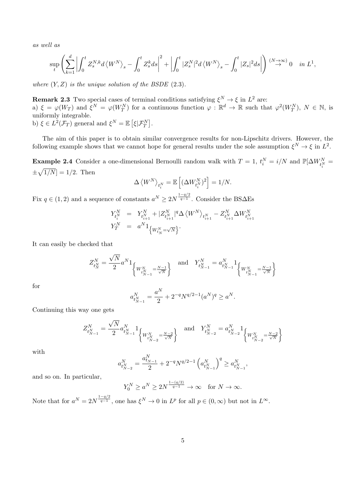*as well as*

$$
\sup_{t}\left(\sum_{k=1}^{d}\left|\int_{0}^{t}Z_{s}^{N,k}d\left\langle W^{N}\right\rangle_{s}-\int_{0}^{t}Z_{s}^{k}ds\right|^{2}+\left|\int_{0}^{t}|Z_{s}^{N}|^{2}d\left\langle W^{N}\right\rangle_{s}-\int_{0}^{t}|Z_{s}|^{2}ds\right|\right)\stackrel{(N\rightarrow\infty)}{\rightarrow}0\quad\text{in }L^{1},
$$

*where* (*Y, Z*) *is the unique solution of the BSDE* (2.3)*.*

**Remark 2.3** Two special cases of terminal conditions satisfying  $\xi^N \to \xi$  in  $L^2$  are: a)  $\xi = \varphi(W_T)$  and  $\xi^N = \varphi(W_T^N)$  for a continuous function  $\varphi : \mathbb{R}^d \to \mathbb{R}$  such that  $\varphi^2(W_T^N)$ ,  $N \in \mathbb{N}$ , is uniformly integrable. b)  $\xi \in L^2(\mathcal{F}_T)$  general and  $\xi^N = \mathbb{E} \left[ \xi | \mathcal{F}_T^N \right]$ .

The aim of this paper is to obtain similar convergence results for non-Lipschitz drivers. However, the following example shows that we cannot hope for general results under the sole assumption  $\xi^N \to \xi$  in  $L^2$ .

**Example 2.4** Consider a one-dimensional Bernoulli random walk with  $T = 1$ ,  $t_i^N = i/N$  and  $\mathbb{P}[\Delta W_{t_i^N}^N =$  $\pm\sqrt{1/N}$  = 1/2. Then

$$
\Delta \left\langle W^N \right\rangle_{t_i^N} = \mathbb{E} \left[ (\Delta W^N_{t_i^N})^2 \right] = 1/N.
$$

Fix  $q \in (1, 2)$  and a sequence of constants  $a^N \geq 2N^{\frac{1-q/2}{q-1}}$ . Consider the BS $\Delta$ Es

$$
\begin{array}{rcl} Y_{t_i^N}^N & = & Y_{t_{i+1}^N}^N + |Z_{t_{i+1}^N}^N|^q \Delta \left\langle W^N \right\rangle_{t_{i+1}^N} - Z_{t_{i+1}^N}^N \Delta W_{t_{i+1}^N}^N \\ Y_T^N & = & a^N 1_{\left\{W_{t_N}^N = \sqrt{N} \right\}}. \end{array}
$$

It can easily be checked that

$$
Z^N_{t^N_N} = \frac{\sqrt{N}}{2} a^N \mathbf{1}_{\left\{W^N_{t^N_{N-1}} = \frac{N-1}{\sqrt{N}}\right\}} \quad \text{and} \quad Y^N_{t^N_{N-1}} = a^N_{t^N_{N-1}} \mathbf{1}_{\left\{W^N_{t^N_{N-1}} = \frac{N-1}{\sqrt{N}}\right\}}
$$

for

$$
a_{t_{N-1}^N}^N = \frac{a^N}{2} + 2^{-q} N^{q/2 - 1} (a^N)^q \ge a^N.
$$

Continuing this way one gets

$$
Z^N_{t^N_{N-1}} = \frac{\sqrt{N}}{2} a^N_{t^N_{N-1}} \mathbf{1}_{\left\{W^N_{t^N_{N-2}} = \frac{N-2}{\sqrt{N}}\right\}} \quad \text{and} \quad Y^N_{t^N_{N-2}} = a^N_{t^N_{N-2}} \mathbf{1}_{\left\{W^N_{t^N_{N-2}} = \frac{N-2}{\sqrt{N}}\right\}}
$$

with

$$
a_{t_{N-2}^N}^N=\frac{a_{t_{N-1}}^N}{2}+2^{-q}N^{q/2-1}\left(a_{t_{N-1}^N}^N\right)^q\geq a_{t_{N-1}^N}^N,
$$

and so on. In particular,

$$
Y_0^N \ge a^N \ge 2N^{\frac{1-(q/2)}{q-1}} \to \infty \quad \text{for } N \to \infty.
$$

Note that for  $a^N = 2N^{\frac{1-q/2}{q-1}}$ , one has  $\xi^N \to 0$  in  $L^p$  for all  $p \in (0, \infty)$  but not in  $L^{\infty}$ .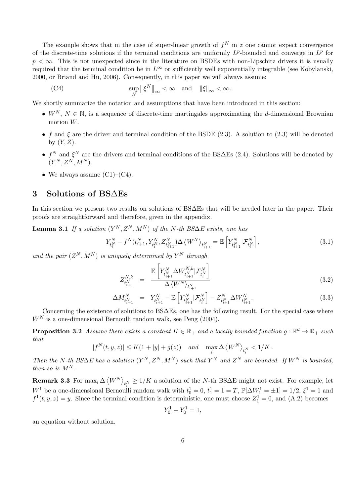The example shows that in the case of super-linear growth of  $f^N$  in  $z$  one cannot expect convergence of the discrete-time solutions if the terminal conditions are uniformly  $L^p$ -bounded and converge in  $L^p$  for *p* < ∞. This is not unexpected since in the literature on BSDEs with non-Lipschitz drivers it is usually required that the terminal condition be in  $L^\infty$  or sufficiently well exponentially integrable (see Kobylanski, 2000, or Briand and Hu, 2006). Consequently, in this paper we will always assume:

(C4) 
$$
\sup_{N} ||\xi^{N}||_{\infty} < \infty \text{ and } ||\xi||_{\infty} < \infty.
$$

We shortly summarize the notation and assumptions that have been introduced in this section:

- $W^N$ ,  $N \in \mathbb{N}$ , is a sequence of discrete-time martingales approximating the *d*-dimensional Brownian motion *W*.
- *f* and  $\xi$  are the driver and terminal condition of the BSDE (2.3). A solution to (2.3) will be denoted by (*Y, Z*).
- *• f <sup>N</sup>* and *ξ <sup>N</sup>* are the drivers and terminal conditions of the BS∆Es (2.4). Solutions will be denoted by  $(Y^N, Z^N, M^N).$
- We always assume  $(C1)$ – $(C4)$ .

## **3 Solutions of BS**∆**Es**

In this section we present two results on solutions of BS∆Es that will be needed later in the paper. Their proofs are straightforward and therefore, given in the appendix.

 $\mathbf{Lemma 3.1}$  *If a solution*  $(Y^N, Z^N, M^N)$  *of the N*-th BS $\Delta E$  exists, one has

$$
Y_{t_i^N}^N - f^N(t_{i+1}^N, Y_{t_i^N}^N, Z_{t_{i+1}^N}^N) \Delta \left\langle W^N \right\rangle_{t_{i+1}^N} = \mathbb{E}\left[ Y_{t_{i+1}^N}^N \middle| \mathcal{F}_{t_i^N}^N \right],\tag{3.1}
$$

and the pair  $(Z^N, M^N)$  is uniquely determined by  $Y^N$  through

$$
Z_{t_{i+1}^{N}}^{N,k} = \frac{\mathbb{E}\left[Y_{t_{i+1}^{N}}^{N} \Delta W_{t_{i+1}^{N}}^{N,k} | \mathcal{F}_{t_{i}^{N}}^{N}\right]}{\Delta \langle W^{N} \rangle_{t_{i+1}^{N}}} \tag{3.2}
$$

$$
\Delta M_{t_{i+1}^N}^N = Y_{t_{i+1}^N}^N - \mathbb{E}\left[Y_{t_{i+1}^N}^N|\mathcal{F}_{t_i^N}^N\right] - Z_{t_{i+1}^N}^N \Delta W_{t_{i+1}^N}^N. \tag{3.3}
$$

Concerning the existence of solutions to BS∆Es, one has the following result. For the special case where  $W<sup>N</sup>$  is a one-dimensional Bernoulli random walk, see Peng  $(2004)$ .

**Proposition 3.2** *Assume there exists a constant*  $K \in \mathbb{R}_+$  *and a locally bounded function*  $g: \mathbb{R}^d \to \mathbb{R}_+$  *such that*

$$
|f^N(t, y, z)| \le K(1 + |y| + g(z)) \quad and \quad \max_i \Delta \left\langle W^N \right\rangle_{t_i^N} < 1/K \,.
$$

Then the N-th BS $\Delta E$  has a solution  $(Y^N, Z^N, M^N)$  such that  $Y^N$  and  $Z^N$  are bounded. If  $W^N$  is bounded, *then so is*  $M^N$ *.* 

**Remark 3.3** For  $\max_i \Delta \langle W^N \rangle_{t_i^N} \geq 1/K$  a solution of the *N*-th BS $\Delta$ E might not exist. For example, let *W*<sup>1</sup> be a one-dimensional Bernoulli random walk with  $t_0^1 = 0$ ,  $t_1^1 = 1 = T$ ,  $\mathbb{P}[\Delta W_1^1 = \pm 1] = 1/2$ ,  $\xi^1 = 1$  and  $f^1(t, y, z) = y$ . Since the terminal condition is deterministic, one must choose  $Z_1^1 = 0$ , and  $(A.2)$  becomes

$$
Y_0^1 - Y_0^1 = 1,
$$

an equation without solution.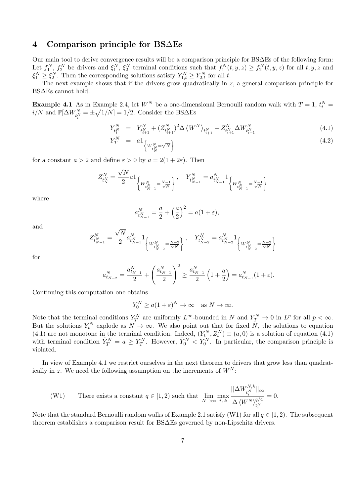### **4 Comparison principle for BS**∆**Es**

Our main tool to derive convergence results will be a comparison principle for BS∆Es of the following form: Let  $f_1^N, f_2^N$  be drivers and  $\xi_1^N, \xi_2^N$  terminal conditions such that  $f_1^N(t, y, z) \ge f_2^N(t, y, z)$  for all  $t, y, z$  and  $\xi_1^N \geq \xi_2^N$ . Then the corresponding solutions satisfy  $Y_{1,t}^N \geq Y_{2,t}^N$  for all *t*.

The next example shows that if the drivers grow quadratically in *z*, a general comparison principle for BS∆Es cannot hold.

**Example 4.1** As in Example 2.4, let  $W^N$  be a one-dimensional Bernoulli random walk with  $T = 1$ ,  $t_i^N =$  $i/N$  and  $\mathbb{P}[\Delta W^N_{t_i^N} = \pm \sqrt{1/N}] = 1/2$ . Consider the BS $\Delta$ Es

$$
Y_{t_{i}^{N}}^{N} = Y_{t_{i+1}^{N}}^{N} + (Z_{t_{i+1}^{N}}^{N})^{2} \Delta \left\langle W^{N} \right\rangle_{t_{i+1}^{N}} - Z_{t_{i+1}^{N}}^{N} \Delta W_{t_{i+1}^{N}}^{N}
$$
\n(4.1)

$$
Y_T^N = a_1 \left\{ W_{t_N^N} = \sqrt{N} \right\} \tag{4.2}
$$

for a constant  $a > 2$  and define  $\varepsilon > 0$  by  $a = 2(1 + 2\varepsilon)$ . Then

$$
Z^N_{t^N_N} = \frac{\sqrt{N}}{2} a \mathbf{1}_{\left\{W^N_{t^N_{N-1}} = \frac{N-1}{\sqrt{N}}\right\}}, \quad Y^N_{t^N_{N-1}} = a^N_{t^N_{N-1}} \mathbf{1}_{\left\{W^N_{t^N_{N-1}} = \frac{N-1}{\sqrt{N}}\right\}}
$$

where

$$
a_{t_{N-1}^{N}}^{N} = \frac{a}{2} + \left(\frac{a}{2}\right)^{2} = a(1+\varepsilon),
$$

and

$$
Z^N_{t^N_{N-1}}=\frac{\sqrt{N}}{2}a^N_{t^N_{N-1}}{\bf 1}_{\left\{W^N_{t^N_{N-2}}=\frac{N-2}{\sqrt{N}}\right\}},\quad Y^N_{t^N_{N-2}}=a^N_{t^N_{N-2}}{\bf 1}_{\left\{W^N_{t^N_{N-2}}=\frac{N-2}{\sqrt{N}}\right\}}
$$

for

$$
a_{t_{N-2}}^N = \frac{a_{t_{N-1}}^N}{2} + \left(\frac{a_{t_{N-1}}^N}{2}\right)^2 \ge \frac{a_{t_{N-1}}^N}{2} \left(1 + \frac{a}{2}\right) = a_{t_{N-1}}^N (1 + \varepsilon).
$$

Continuing this computation one obtains

$$
Y_0^N \ge a(1+\varepsilon)^N \to \infty \quad \text{as } N \to \infty.
$$

Note that the terminal conditions  $Y_T^N$  are uniformly  $L^\infty$ -bounded in  $N$  and  $Y_T^N \to 0$  in  $L^p$  for all  $p < \infty$ . But the solutions  $Y_t^N$  explode as  $N \to \infty$ . We also point out that for fixed N, the solutions to equation *the solutions*  $I_t$  explode as  $N \to \infty$ . We also point out that for fixed  $N$ , the solutions to equation (4.1) are not monotone in the terminal condition. Indeed,  $(\tilde{Y}_t^N, \tilde{Z}_t^N) \equiv (a, 0)$  is a solution of equation with terminal condition  $\tilde{Y}_T^N = a \ge Y_T^N$ . However,  $\tilde{Y}_0^N < Y_0^N$ . In particular, the comparison principle is violated.

In view of Example 4.1 we restrict ourselves in the next theorem to drivers that grow less than quadratically in *z*. We need the following assumption on the increments of  $W^N$ :

$$
\text{(W1)} \qquad \text{There exists a constant } q \in [1, 2) \text{ such that } \lim_{N \to \infty} \max_{i,k} \frac{||\Delta W_{t_i^N}^{N,k}||_{\infty}}{\Delta \left\langle W^N \right\rangle_{t_i^N}^{q/4}} = 0.
$$

Note that the standard Bernoulli random walks of Example 2.1 satisfy (W1) for all  $q \in [1,2)$ . The subsequent theorem establishes a comparison result for BS∆Es governed by non-Lipschitz drivers.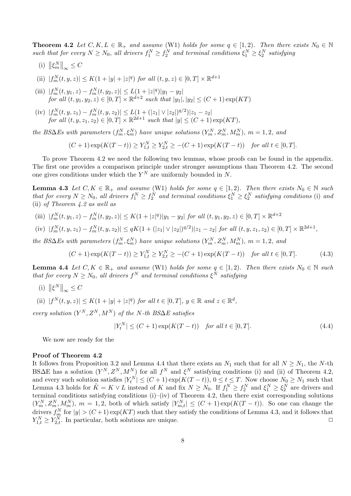**Theorem 4.2** *Let*  $C, K, L \in \mathbb{R}_+$  *and assume* (W1) *holds for some*  $q \in [1, 2)$ *. Then there exists*  $N_0 \in \mathbb{N}$ *such that for every*  $N \ge N_0$ , all drivers  $f_1^N \ge f_2^N$  and terminal conditions  $\xi_1^N \ge \xi_2^N$  satisfying

- (i)  $\left\| \xi_m^N \right\|_{\infty} \leq C$
- (ii)  $|f_m^N(t, y, z)| \le K(1 + |y| + |z|^q)$  *for all*  $(t, y, z) \in [0, T] \times \mathbb{R}^{d+1}$
- (iii)  $|f_m^N(t, y_1, z) f_m^N(t, y_2, z)| \le L(1 + |z|^q)|y_1 y_2|$ *for all*  $(t, y_1, y_2, z) \in [0, T] \times \mathbb{R}^{d+2}$  *such that*  $|y_1|, |y_2| \leq (C + 1) \exp(KT)$
- (iv)  $|f_m^N(t, y, z_1) f_m^N(t, y, z_2)| \le L(1 + (|z_1| \vee |z_2|)^{q/2})|z_1 z_2|$ *for all*  $(t, y, z_1, z_2) \in [0, T] \times \mathbb{R}^{2d+1}$  *such that*  $|y| \le (C + 1) \exp(KT)$ ,

the BS $\Delta$ Es with parameters  $(f_m^N, \xi_m^N)$  have unique solutions  $(Y_m^N, Z_m^N, M_m^N)$ ,  $m = 1, 2$ , and

$$
(C+1)\exp(K(T-t)) \ge Y_{1,t}^N \ge Y_{2,t}^N \ge -(C+1)\exp(K(T-t)) \quad \text{for all } t \in [0,T].
$$

To prove Theorem 4.2 we need the following two lemmas, whose proofs can be found in the appendix. The first one provides a comparison principle under stronger assumptions than Theorem 4.2. The second one gives conditions under which the  $Y^N$  are uniformly bounded in  $N$ .

**Lemma 4.3** *Let*  $C, K \in \mathbb{R}_+$  *and assume* (W1) *holds for some*  $q \in [1, 2)$ *. Then there exists*  $N_0 \in \mathbb{N}$  *such* that for every  $N \ge N_0$ , all drivers  $f_1^N \ge f_2^N$  and terminal conditions  $\xi_1^N \ge \xi_2^N$  satisfying conditions (i) and (ii) *of Theorem 4.2 as well as*

- (iii)  $|f_m^N(t, y_1, z) f_m^N(t, y_2, z)| \le K(1 + |z|^q)|y_1 y_2|$  for all  $(t, y_1, y_2, z) \in [0, T] \times \mathbb{R}^{d+2}$
- (iv)  $|f_m^N(t, y, z_1) f_m^N(t, y, z_2)| \le qK(1 + (|z_1| \vee |z_2|)^{q/2})|z_1 z_2|$  for all  $(t, y, z_1, z_2) \in [0, T] \times \mathbb{R}^{2d+1}$ ,

the BS $\Delta$ Es with parameters  $(f_m^N, \xi_m^N)$  have unique solutions  $(Y_m^N, Z_m^N, M_m^N)$ ,  $m = 1, 2$ , and

$$
(C+1)\exp(K(T-t)) \ge Y_{1,t}^N \ge Y_{2,t}^N \ge -(C+1)\exp(K(T-t)) \quad \text{for all } t \in [0,T].
$$
 (4.3)

**Lemma 4.4** *Let*  $C, K \in \mathbb{R}_+$  *and assume* (W1) *holds for some*  $q \in [1, 2)$ *. Then there exists*  $N_0 \in \mathbb{N}$  *such that for every*  $N \geq N_0$ , all drivers  $f^N$  and terminal conditions  $\xi^N$  satisfying

(i)  $\left\| \xi^N \right\|_{\infty} \leq C$ 

(ii)  $|f^N(t, y, z)| \le K(1 + |y| + |z|^q)$  for all  $t \in [0, T]$ ,  $y \in \mathbb{R}$  and  $z \in \mathbb{R}^d$ ,

 $every$  *solution*  $(Y^N, Z^N, M^N)$  *of the N*-th BS∆*E* satisfies

$$
|Y_t^N| \le (C+1)\exp(K(T-t)) \quad \text{for all } t \in [0,T].\tag{4.4}
$$

We now are ready for the

#### **Proof of Theorem 4.2**

It follows from Proposition 3.2 and Lemma 4.4 that there exists an  $N_1$  such that for all  $N \geq N_1$ , the *N*-th BS∆E has a solution  $(Y^N, Z^N, M^N)$  for all  $f^N$  and  $\xi^N$  satisfying conditions (i) and (ii) of Theorem 4.2, and every such solution satisfies  $|Y_t^N| \le (C+1) \exp(K(T-t)), 0 \le t \le T$ . Now choose  $N_0 \ge N_1$  such that Lemma 4.3 holds for  $\tilde{K} = K \vee L$  instead of K and fix  $N \ge N_0$ . If  $f_1^N \ge f_2^N$  and  $\xi_1^N \ge \xi_2^N$  are drivers and terminal conditions satisfying conditions (i)–(iv) of Theorem 4.2, then there exist corresponding solutions  $(Y_m^N, Z_m^N, M_m^N), m = 1, 2$ , both of which satisfy  $|Y_{m,t}^N| \leq (C+1) \exp(K(T-t))$ . So one can change the drivers  $f_m^N$  for  $|y| > (C+1) \exp(KT)$  such that they satisfy the conditions of Lemma 4.3, and it follows that  $Y_{1,t}^N \geq Y_{2,t}^N$ . In particular, both solutions are unique.  $\Box$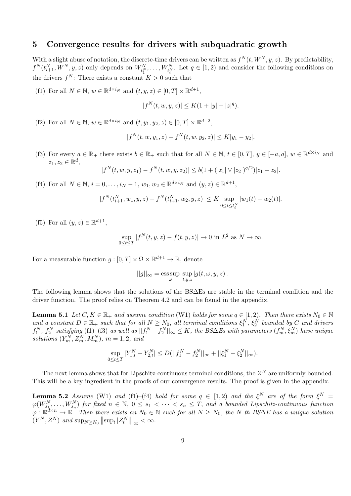### **5 Convergence results for drivers with subquadratic growth**

With a slight abuse of notation, the discrete-time drivers can be written as  $f^N(t, W^N, y, z)$ . By predictability,  $f^N(t_{i+1}^N, W^N, y, z)$  only depends on  $W_{t_1^N}^N, \ldots, W_{t_i^N}^N$ . Let  $q \in [1, 2)$  and consider the following conditions on the drivers  $f^N$ : There exists a constant  $K > 0$  such that

(f1) For all  $N \in \mathbb{N}$ ,  $w \in \mathbb{R}^{d \times i_N}$  and  $(t, y, z) \in [0, T] \times \mathbb{R}^{d+1}$ ,

$$
|f^{N}(t, w, y, z)| \leq K(1 + |y| + |z|^{q}).
$$

(f2) For all  $N \in \mathbb{N}$ ,  $w \in \mathbb{R}^{d \times i_N}$  and  $(t, y_1, y_2, z) \in [0, T] \times \mathbb{R}^{d+2}$ ,

$$
|f^N(t, w, y_1, z) - f^N(t, w, y_2, z)| \le K|y_1 - y_2|.
$$

(f3) For every  $a \in \mathbb{R}_+$  there exists  $b \in \mathbb{R}_+$  such that for all  $N \in \mathbb{N}$ ,  $t \in [0,T]$ ,  $y \in [-a,a]$ ,  $w \in \mathbb{R}^{d \times i_N}$  and  $z_1, z_2 \in \mathbb{R}^d$ ,

$$
|f^N(t, w, y, z_1) - f^N(t, w, y, z_2)| \le b(1 + (|z_1| \vee |z_2|)^{q/2})|z_1 - z_2|.
$$

(f4) For all  $N \in \mathbb{N}$ ,  $i = 0, ..., i_N - 1$ ,  $w_1, w_2 \in \mathbb{R}^{d \times i_N}$  and  $(y, z) \in \mathbb{R}^{d+1}$ ,

$$
|f^N(t_{i+1}^N, w_1, y, z) - f^N(t_{i+1}^N, w_2, y, z)| \le K \sup_{0 \le t \le t_i^N} |w_1(t) - w_2(t)|.
$$

(f5) For all  $(y, z) \in \mathbb{R}^{d+1}$ ,

$$
\sup_{0 \le t \le T} |f^N(t, y, z) - f(t, y, z)| \to 0 \text{ in } L^2 \text{ as } N \to \infty.
$$

For a measurable function  $g: [0, T] \times \Omega \times \mathbb{R}^{d+1} \to \mathbb{R}$ , denote

$$
||g||_{\infty} = \underset{\omega}{\text{ess sup}} \sup_{t,y,z} |g(t,\omega,y,z)|.
$$

The following lemma shows that the solutions of the BS∆Es are stable in the terminal condition and the driver function. The proof relies on Theorem 4.2 and can be found in the appendix.

**Lemma 5.1** *Let*  $C, K \in \mathbb{R}_+$  *and assume condition* (W1) *holds for some*  $q \in [1, 2)$ *. Then there exists*  $N_0 \in \mathbb{N}$ *and a* constant  $D \in \mathbb{R}_+$  such that for all  $N \geq N_0$ , all terminal conditions  $\xi_1^N$ ,  $\xi_2^N$  bounded by C and drivers  $f_1^N$ ,  $f_2^N$  satisfying (f1)–(f3) as well as  $||f_1^N-f_2^N||_{\infty}\leq K$ , the BS $\Delta E$ s with parameters  $(f_m^N,\xi_m^N)$  have unique *solutions*  $(Y_m^N, Z_m^N, M_m^N)$ ,  $m = 1, 2$ , and

$$
\sup_{0 \le t \le T} |Y_{1,t}^N - Y_{2,t}^N| \le D(||f_1^N - f_2^N||_{\infty} + ||\xi_1^N - \xi_2^N||_{\infty}).
$$

The next lemma shows that for Lipschitz-continuous terminal conditions, the  $Z^N$  are uniformly bounded. This will be a key ingredient in the proofs of our convergence results. The proof is given in the appendix.

**Lemma 5.2** *Assume* (W1) *and* (f1)–(f4) *hold for some*  $q \in [1,2)$  *and the*  $\xi^N$  *are of the form*  $\xi^N =$  $\varphi(W_{s_1}^N,\ldots,W_{s_n}^N)$  for fixed  $n \in \mathbb{N}$ ,  $0 \leq s_1 < \cdots < s_n \leq T$ , and a bounded Lipschitz-continuous function *ϕ* : R *<sup>d</sup>×<sup>n</sup> →* R*. Then there exists an N*<sup>0</sup> *∈* N *such for all N ≥ N*0*, the N-th BS*∆*E has a unique solution*  $(|Y^N, Z^N)|$  and  $\sup_{N \ge N_0} ||\sup_t |Z_t^N||_{\infty} < \infty$ .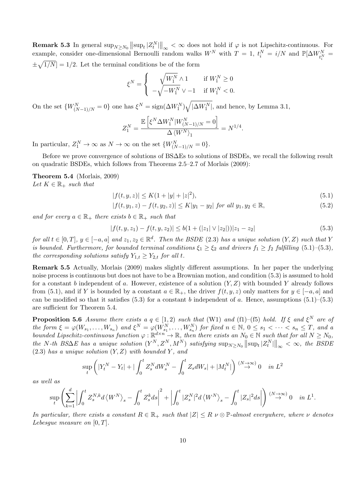**Remark 5.3** In general  $\sup_{N\geq N_0} ||\sup_t |Z_t^N||_{\infty} < \infty$  does not hold if  $\varphi$  is not Lipschitz-continuous. For example, consider one-dimensional Bernoulli random walks  $W^N$  with  $T = 1$ ,  $t_i^N = i/N$  and  $\mathbb{P}[\Delta W_{t_i^N}^N =$  $\pm\sqrt{1/N}$  = 1/2. Let the terminal conditions be of the form

$$
\xi^N = \begin{cases} \begin{array}{cc} \sqrt{W_1^N} \wedge 1 & \text{if } W_1^N \geq 0 \\ -\sqrt{-W_1^N} \vee -1 & \text{if } W_1^N < 0. \end{array} \end{cases}
$$

On the set  $\{W_{(N-1)/N}^N = 0\}$  one has  $\xi^N = \text{sign}(\Delta W_1^N)\sqrt{|\Delta W_1^N|}$ , and hence, by Lemma 3.1,

$$
Z_1^N = \frac{\mathbb{E}\left[\xi^N \Delta W_1^N | W_{(N-1)/N}^N = 0\right]}{\Delta \left\langle W^N \right\rangle_1} = N^{1/4}.
$$

In particular,  $Z_1^N \to \infty$  as  $N \to \infty$  on the set  $\{W_{(N-1)/N}^N = 0\}$ .

Before we prove convergence of solutions of BS∆Es to solutions of BSDEs, we recall the following result on quadratic BSDEs, which follows from Theorems 2.5–2.7 of Morlais (2009):

**Theorem 5.4** (Morlais, 2009) *Let*  $K \in \mathbb{R}_+$  *such that* 

$$
|f(t, y, z)| \le K(1 + |y| + |z|^2),\tag{5.1}
$$

$$
|f(t, y_1, z) - f(t, y_2, z)| \le K|y_1 - y_2| \text{ for all } y_1, y_2 \in \mathbb{R},
$$
\n
$$
(5.2)
$$

*and for every*  $a \in \mathbb{R}_+$  *there exists*  $b \in \mathbb{R}_+$  *such that* 

$$
|f(t, y, z_1) - f(t, y, z_2)| \le b(1 + (|z_1| \vee |z_2|))|z_1 - z_2|
$$
\n(5.3)

for all  $t \in [0,T]$ ,  $y \in [-a,a]$  and  $z_1, z_2 \in \mathbb{R}^d$ . Then the BSDE (2.3) has a unique solution  $(Y,Z)$  such that Y *is bounded. Furthermore, for bounded terminal conditions*  $\xi_1 \geq \xi_2$  *and drivers*  $f_1 \geq f_2$  *fulfilling* (5.1)–(5.3)*, the corresponding solutions satisfy*  $Y_{1,t} \geq Y_{2,t}$  *for all t.* 

**Remark 5.5** Actually, Morlais (2009) makes slightly different assumptions. In her paper the underlying noise process is continuous but does not have to be a Brownian motion, and condition (5.3) is assumed to hold for a constant *b* independent of *a*. However, existence of a solution (*Y, Z*) with bounded *Y* already follows from (5.1), and if *Y* is bounded by a constant  $a \in \mathbb{R}_+$ , the driver  $f(t, y, z)$  only matters for  $y \in [-a, a]$  and can be modified so that it satisfies  $(5.3)$  for a constant *b* independent of *a*. Hence, assumptions  $(5.1)$ – $(5.3)$ are sufficient for Theorem 5.4.

**Proposition 5.6** *Assume there exists a*  $q \in [1,2)$  *such that* (W1) *and* (f1)–(f5) *hold.* If  $\xi$  *and*  $\xi^N$  *are of* the form  $\xi = \varphi(W_{s_1}, \ldots, W_{s_n})$  and  $\xi^N = \varphi(W_{s_1}^N, \ldots, W_{s_n}^N)$  for fixed  $n \in \mathbb{N}$ ,  $0 \le s_1 < \cdots < s_n \le T$ , and a *bounded Lipschitz-continuous function*  $\varphi : \mathbb{R}^{d \times n} \to \mathbb{R}$ *, then there exists an*  $N_0 \in \mathbb{N}$  *such that for all*  $N \geq N_0$ *,* the N-th BS $\Delta E$  has a unique solution  $(Y^N, Z^N, M^N)$  satisfying  $\sup_{N \geq N_0} ||\sup_t |Z_t^N||_{\infty} < \infty$ , the BSDE (2.3) *has a unique solution* (*Y, Z*) *with bounded Y , and*

$$
\sup_{t} \left( |Y_t^N - Y_t| + |\int_0^t Z_s^N dW_s^N - \int_0^t Z_s dW_s| + |M_t^N| \right) \stackrel{(N \to \infty)}{\to} 0 \quad in \ L^2
$$

*as well as*

$$
\sup_{t} \left( \sum_{k=1}^{d} \left| \int_{0}^{t} Z_{s}^{N,k} d\left\langle W^{N} \right\rangle_{s} - \int_{0}^{t} Z_{s}^{k} ds \right|^{2} + \left| \int_{0}^{t} |Z_{s}^{N}|^{2} d\left\langle W^{N} \right\rangle_{s} - \int_{0}^{t} |Z_{s}|^{2} ds \right| \right) \stackrel{(N \to \infty)}{\to} 0 \quad \text{in } L^{1}.
$$

*In particular, there exists a constant*  $R \in \mathbb{R}_+$  *such that*  $|Z| \leq R \nu \otimes \mathbb{P}$ *-almost everywhere, where*  $\nu$  *denotes Lebesgue measure on* [0*, T*]*.*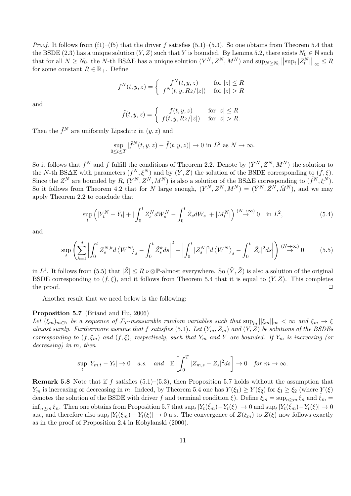*Proof*. It follows from (f1)–(f5) that the driver *f* satisfies (5.1)–(5.3). So one obtains from Theorem 5.4 that the BSDE (2.3) has a unique solution  $(Y, Z)$  such that *Y* is bounded. By Lemma 5.2, there exists  $N_0 \in \mathbb{N}$  such that for all  $N \ge N_0$ , the N-th BS $\Delta E$  has a unique solution  $(Y^N, Z^N, M^N)$  and  $\sup_{N \ge N_0} ||\sup_t |Z_t^N||_{\infty} \le R$ for some constant  $R \in \mathbb{R}_+$ . Define

$$
\tilde{f}^N(t, y, z) = \begin{cases}\nf^N(t, y, z) & \text{for } |z| \le R \\
f^N(t, y, Rz/|z|) & \text{for } |z| > R\n\end{cases}
$$

and

$$
\tilde{f}(t, y, z) = \begin{cases}\nf(t, y, z) & \text{for } |z| \le R \\
f(t, y, Rz/|z|) & \text{for } |z| > R.\n\end{cases}
$$

Then the  $\tilde{f}^N$  are uniformly Lipschitz in  $(y, z)$  and

$$
\sup_{0 \le t \le T} |\tilde{f}^N(t, y, z) - \tilde{f}(t, y, z)| \to 0 \text{ in } L^2 \text{ as } N \to \infty.
$$

So it follows that  $\tilde{f}^N$  and  $\tilde{f}$  fulfill the conditions of Theorem 2.2. Denote by  $(\tilde{Y}^N, \tilde{Z}^N, \tilde{M}^N)$  the solution to the *N*-th BS $\Delta$ E with parameters  $(\tilde{f}^N, \xi^N)$  and by  $(\tilde{Y}, \tilde{Z})$  the solution of the BSDE corresponding to  $(\tilde{f}, \xi)$ . Since the  $Z^N$  are bounded by  $R$ ,  $(Y^N, Z^N, M^N)$  is also a solution of the BS∆E corresponding to  $(\tilde{f}^N, \tilde{\xi}^N)$ . So it follows from Theorem 4.2 that for *N* large enough,  $(Y^N, Z^N, M^N) = (\tilde{Y}^N, \tilde{Z}^N, \tilde{M}^N)$ , and we may apply Theorem 2.2 to conclude that

$$
\sup_{t} \left( |Y_t^N - \tilde{Y}_t| + |\int_0^t Z_s^N dW_s^N - \int_0^t \tilde{Z}_s dW_s| + |M_t^N| \right) \stackrel{(N \to \infty)}{\to} 0 \quad \text{in } L^2,
$$
\n
$$
(5.4)
$$

and

$$
\sup_{t} \left( \sum_{k=1}^{d} \left| \int_{0}^{t} Z_{s}^{N,k} d\left\langle W^{N} \right\rangle_{s} - \int_{0}^{t} \tilde{Z}_{s}^{k} ds \right|^{2} + \left| \int_{0}^{t} |Z_{s}^{N}|^{2} d\left\langle W^{N} \right\rangle_{s} - \int_{0}^{t} |\tilde{Z}_{s}|^{2} ds \right| \right) \stackrel{(N \to \infty)}{\to} 0 \tag{5.5}
$$

in  $L^1$ . It follows from (5.5) that  $|\tilde{Z}| \le R \nu \otimes \mathbb{P}$ -almost everywhere. So  $(\tilde{Y}, \tilde{Z})$  is also a solution of the original BSDE corresponding to  $(f, \xi)$ , and it follows from Theorem 5.4 that it is equal to  $(Y, Z)$ . This completes the proof. <del>□</del>

Another result that we need below is the following:

#### **Proposition 5.7** (Briand and Hu, 2006)

Let  $(\xi_m)_{m\in\mathbb{N}}$  be a sequence of  $\mathcal{F}_T$ -measurable random variables such that  $\sup_m ||\xi_m||_{\infty} < \infty$  and  $\xi_m \to \xi$ *almost surely. Furthermore assume that f satisfies* (5.1)*. Let* (*Ym, Zm*) *and* (*Y, Z*) *be solutions of the BSDEs corresponding to*  $(f, \xi_m)$  *and*  $(f, \xi)$ *, respectively, such that*  $Y_m$  *and*  $Y$  *are bounded. If*  $Y_m$  *is increasing (or decreasing) in m, then*

$$
\sup_{t} |Y_{m,t} - Y_t| \to 0 \quad a.s. \quad and \quad \mathbb{E}\left[\int_0^T |Z_{m,s} - Z_s|^2 ds\right] \to 0 \quad \text{for } m \to \infty.
$$

**Remark 5.8** Note that if *f* satisfies (5.1)–(5.3), then Proposition 5.7 holds without the assumption that *Y*<sup>*m*</sup> is increasing or decreasing in *m*. Indeed, by Theorem 5.4 one has  $Y(\xi_1) \ge Y(\xi_2)$  for  $\xi_1 \ge \xi_2$  (where  $Y(\xi)$ ) denotes the solution of the BSDE with driver *f* and terminal condition  $\xi$ ). Define  $\hat{\xi}_m = \sup_{n>m} \xi_n$  and  $\tilde{\xi}_m =$  $\inf_{n\geq m}\xi_n$ . Then one obtains from Proposition 5.7 that  $\sup_t|Y_t(\hat{\xi}_m)-Y_t(\xi)|\to 0$  and  $\sup_t|Y_t(\tilde{\xi}_m)-Y_t(\xi)|\to 0$ a.s., and therefore also  $\sup_t |Y_t(\xi_m) - Y_t(\xi)| \to 0$  a.s. The convergence of  $Z(\xi_m)$  to  $Z(\xi)$  now follows exactly as in the proof of Proposition 2.4 in Kobylanski (2000).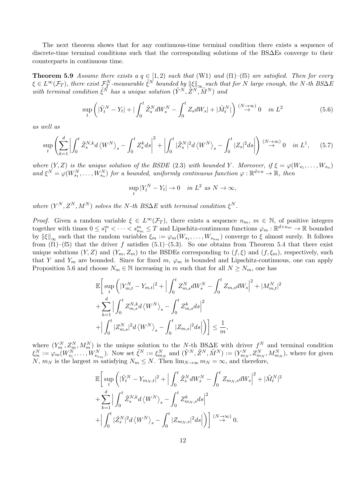The next theorem shows that for any continuous-time terminal condition there exists a sequence of discrete-time terminal conditions such that the corresponding solutions of the BS∆Es converge to their counterparts in continuous time.

**Theorem 5.9** *Assume there exists a*  $q \in [1,2)$  *such that* (W1) *and* (f1)–(f5) *are satisfied. Then for every*  $\xi \in L^{\infty}(\mathcal{F}_T)$ , there exist  $\mathcal{F}^N_T$ -measurable  $\tilde{\xi}^N$  bounded by  $\|\xi\|_{\infty}$  such that for N large enough, the N-th BS $\Delta E$ *with terminal condition*  $\tilde{\xi}^{\tilde{N}}$  *has a unique solution*  $(\tilde{Y}^N, \tilde{Z}^N, \tilde{M}^N)$  *and* 

$$
\sup_{t} \left( |\tilde{Y}_{t}^{N} - Y_{t}| + |\int_{0}^{t} \tilde{Z}_{s}^{N} dW_{s}^{N} - \int_{0}^{t} Z_{s} dW_{s}| + |\tilde{M}_{t}^{N}| \right) \stackrel{(N \to \infty)}{\to} 0 \quad in \ L^{2}
$$
\n
$$
(5.6)
$$

*as well as*

$$
\sup_{t} \left( \sum_{k=1}^{d} \left| \int_{0}^{t} \tilde{Z}_{s}^{N,k} d\left\langle W^{N} \right\rangle_{s} - \int_{0}^{t} Z_{s}^{k} ds \right|^{2} + \left| \int_{0}^{t} |\tilde{Z}_{s}^{N}|^{2} d\left\langle W^{N} \right\rangle_{s} - \int_{0}^{t} |Z_{s}|^{2} ds \right| \right) \stackrel{(N \to \infty)}{\to} 0 \quad \text{in } L^{1}, \tag{5.7}
$$

*where*  $(Y, Z)$  *is the unique solution of the BSDE* (2.3) *with bounded Y*. Moreover, if  $\xi = \varphi(W_{s_1}, \ldots, W_{s_n})$ and  $\xi^N = \varphi(W_{s_1}^N, \ldots, W_{s_n}^N)$  for a bounded, uniformly continuous function  $\varphi : \mathbb{R}^{d \times n} \to \mathbb{R}$ , then

$$
\sup_t |Y_t^N - Y_t| \to 0 \quad in \ L^2 \ as \ N \to \infty,
$$

*where*  $(Y^N, Z^N, M^N)$  *solves the N*-th BS $\Delta E$  with terminal condition  $\xi^N$ .

*Proof.* Given a random variable  $\xi \in L^{\infty}(\mathcal{F}_T)$ , there exists a sequence  $n_m$ ,  $m \in \mathbb{N}$ , of positive integers together with times  $0 \le s_1^m < \cdots < s_{n_m}^m \le T$  and Lipschitz-continuous functions  $\varphi_m : \mathbb{R}^{d \times n_m} \to \mathbb{R}$  bounded by  $\|\xi\|_{\infty}$  such that the random variables  $\xi_m := \varphi_m(W_{s_1}, \ldots, W_{s_{n_m}})$  converge to  $\xi$  almost surely. It follows from  $(f1)$ – $(f5)$  that the driver *f* satisfies  $(5.1)$ – $(5.3)$ . So one obtains from Theorem 5.4 that there exist unique solutions  $(Y, Z)$  and  $(Y_m, Z_m)$  to the BSDEs corresponding to  $(f, \xi)$  and  $(f, \xi_m)$ , respectively, such that *Y* and  $Y_m$  are bounded. Since for fixed *m*,  $\varphi_m$  is bounded and Lipschitz-continuous, one can apply Proposition 5.6 and choose  $N_m \in \mathbb{N}$  increasing in *m* such that for all  $N \ge N_m$ , one has

$$
\mathbb{E}\bigg[\sup_{t} \bigg( |Y_{m,t}^{N} - Y_{m,t}|^{2} + \Big| \int_{0}^{t} Z_{m,s}^{N} dW_{s}^{N} - \int_{0}^{t} Z_{m,s} dW_{s} \Big|^{2} + |M_{m,t}^{N}|^{2} + \sum_{k=1}^{d} \Big| \int_{0}^{t} Z_{m,s}^{N,k} d\langle W^{N} \rangle_{s} - \int_{0}^{t} Z_{m,s}^{k} ds \Big|^{2} + \Big| \int_{0}^{t} |Z_{m,s}^{N}|^{2} d\langle W^{N} \rangle_{s} - \int_{0}^{t} |Z_{m,s}|^{2} ds \Big| \bigg) \bigg] \leq \frac{1}{m},
$$

where  $(Y_m^N, Z_m^N, M_m^N)$  is the unique solution to the *N*-th BS∆E with driver  $f^N$  and terminal condition  $\xi_m^N := \varphi_m(W_{s_1}^N, \ldots, W_{s_{n_m}}^N)$ . Now set  $\tilde{\xi}^N := \xi_{m_N}^N$  and  $(\tilde{Y}^N, \tilde{Z}^N, \tilde{M}^N) := (Y_{m_N}^N, Z_{m_N}^N, M_{m_N}^N)$ , where for given *N*,  $m_N$  is the largest *m* satisfying  $N_m \leq N$ . Then  $\lim_{N \to \infty} m_N = \infty$ , and therefore,

$$
\mathbb{E}\bigg[\sup_t \bigg(\big|\tilde{Y}_t^N - Y_{m_N,t}\big|^2 + \Big|\int_0^t \tilde{Z}_s^N dW_s^N - \int_0^t Z_{m_N,s} dW_s\Big|^2 + |\tilde{M}_t^N|^2 \n+ \sum_{k=1}^d \Big|\int_0^t \tilde{Z}_s^{N,k} d\langle W^N\rangle_s - \int_0^t Z_{m_N,s}^k ds\Big|^2 \n+ \Big|\int_0^t |\tilde{Z}_s^N|^2 d\langle W^N\rangle_s - \int_0^t |Z_{m_N,s}|^2 ds\Big|\bigg)\bigg] \stackrel{(N\to\infty)}{\to} 0.
$$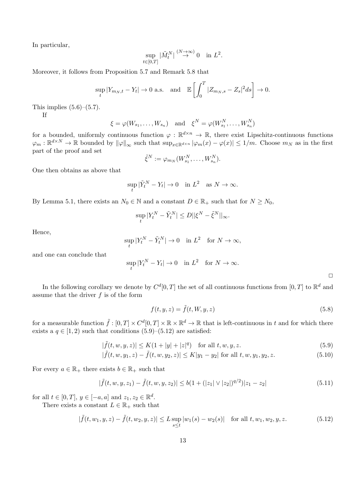In particular,

$$
\sup_{t\in[0,T]}|\tilde{M}^N_t|\overset{(N\to\infty)}{\to}0\quad\text{in }L^2.
$$

Moreover, it follows from Proposition 5.7 and Remark 5.8 that

$$
\sup_{t} |Y_{m_N,t} - Y_t| \to 0 \text{ a.s.} \quad \text{and} \quad \mathbb{E}\left[\int_0^T |Z_{m_N,s} - Z_s|^2 ds\right] \to 0.
$$

This implies  $(5.6)$ – $(5.7)$ .

If

$$
\xi = \varphi(W_{s_1}, \dots, W_{s_n})
$$
 and  $\xi^N = \varphi(W_{s_1}^N, \dots, W_{s_n}^N)$ 

for a bounded, uniformly continuous function  $\varphi : \mathbb{R}^{d \times n} \to \mathbb{R}$ , there exist Lipschitz-continuous functions  $\varphi_m: \mathbb{R}^{d \times N} \to \mathbb{R}$  bounded by  $\|\varphi\|_{\infty}$  such that  $\sup_{x \in \mathbb{R}^{d \times n}} |\varphi_m(x) - \varphi(x)| \leq 1/m$ . Choose  $m_N$  as in the first part of the proof and set

$$
\tilde{\xi}^N := \varphi_{m_N}(W^N_{s_1}, \dots, W^N_{s_n}).
$$

One then obtains as above that

$$
\sup_t |\tilde{Y}_t^N - Y_t| \to 0 \quad \text{in } L^2 \quad \text{as } N \to \infty.
$$

By Lemma 5.1, there exists an  $N_0 \in \mathbb{N}$  and a constant  $D \in \mathbb{R}_+$  such that for  $N \ge N_0$ ,

$$
\sup_t|Y_t^N-\tilde{Y}_t^N|\le D||\xi^N-\tilde{\xi}^N||_\infty.
$$

Hence,

$$
\sup_t |Y_t^N - \tilde{Y}_t^N| \to 0 \quad \text{in } L^2 \quad \text{for } N \to \infty,
$$

and one can conclude that

$$
\sup_t |Y_t^N - Y_t| \to 0 \quad \text{in } L^2 \quad \text{for } N \to \infty.
$$

 $\Box$ 

In the following corollary we denote by  $C^{d}[0,T]$  the set of all continuous functions from  $[0,T]$  to  $\mathbb{R}^{d}$  and assume that the driver *f* is of the form

$$
f(t, y, z) = \tilde{f}(t, W, y, z)
$$
\n(5.8)

for a measurable function  $\tilde{f}:[0,T]\times C^d[0,T]\times\mathbb{R}\times\mathbb{R}^d\to\mathbb{R}$  that is left-continuous in  $t$  and for which there exists a  $q \in [1, 2)$  such that conditions  $(5.9)$ – $(5.12)$  are satisfied:

$$
|\tilde{f}(t, w, y, z)| \le K(1 + |y| + |z|^q) \quad \text{for all } t, w, y, z.
$$
 (5.9)

$$
|\tilde{f}(t, w, y_1, z) - \tilde{f}(t, w, y_2, z)| \le K|y_1 - y_2| \text{ for all } t, w, y_1, y_2, z.
$$
 (5.10)

For every  $a \in \mathbb{R}_+$  there exists  $b \in \mathbb{R}_+$  such that

$$
|\tilde{f}(t, w, y, z_1) - \tilde{f}(t, w, y, z_2)| \le b(1 + (|z_1| \vee |z_2|)^{q/2})|z_1 - z_2|
$$
\n(5.11)

for all  $t \in [0, T], y \in [-a, a]$  and  $z_1, z_2 \in \mathbb{R}^d$ .

There exists a constant  $L \in \mathbb{R}_+$  such that

$$
|\tilde{f}(t, w_1, y, z) - \tilde{f}(t, w_2, y, z)| \le L \sup_{s \le t} |w_1(s) - w_2(s)| \quad \text{for all } t, w_1, w_2, y, z. \tag{5.12}
$$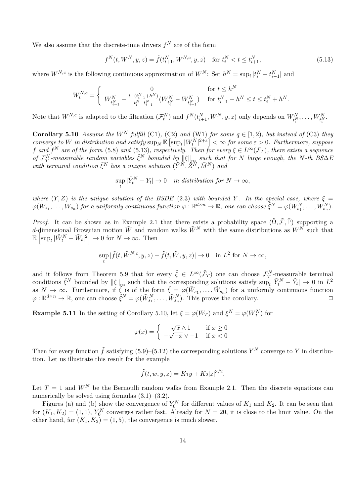We also assume that the discrete-time drivers  $f^N$  are of the form

$$
f^{N}(t, W^{N}, y, z) = \tilde{f}(t_{i+1}^{N}, W^{N,c}, y, z) \quad \text{for } t_{i}^{N} < t \leq t_{i+1}^{N},
$$
\n(5.13)

where  $W^{N,c}$  is the following continuous approximation of  $W^N$ : Set  $h^N = \sup_i |t_i^N - t_{i-1}^N|$  and

$$
W_t^{N,c} = \begin{cases} 0 & \text{for } t \le h^N \\ W_{t_{i-1}^N}^N + \frac{t - (t_{i-1}^N + h^N)}{t_i^N - t_{i-1}^N} (W_{t_i^N}^N - W_{t_{i-1}^N}^N) & \text{for } t_{i-1}^N + h^N \le t \le t_i^N + h^N. \end{cases}
$$

Note that  $W^{N,c}$  is adapted to the filtration  $(\mathcal{F}_t^N)$  and  $f^N(t_{i+1}^N, W^N, y, z)$  only depends on  $W_{t_1^N}^N, \ldots, W_{t_i^N}^N$ .

**Corollary 5.10** *Assume the*  $W^N$  *fulfill* (C1)*,* (C2) *and* (W1) *for some*  $q \in [1, 2)$ *, but instead of* (C3) *they*  $converge to \ W \ in \ distribution \ and \ satisfy \ \sup_N \mathbb{E} \left[ \sup_t |W_t^N|^{2+\varepsilon} \right] < \infty \ for \ some \ \varepsilon > 0. \ Furthermore, \ suppose$ *f* and  $f^N$  are of the form (5.8) and (5.13), respectively. Then for every  $\xi \in L^\infty(\mathcal{F}_T)$ , there exists a sequence of  $\mathcal{F}_T^N$ -measurable random variables  $\tilde{\xi}^N$  bounded by  $\|\xi\|_{\infty}$  such that for N large enough, the N-th BS $\Delta E$  $W$ *is in terminal condition*  $\tilde{\xi}^N$  *has a unique solution*  $(\tilde{Y}^N, \tilde{Z}^N, \tilde{M}^N)$  *and* 

$$
\sup_t |\tilde{Y}_t^N - Y_t| \to 0 \quad in \ distribution \ for \ N \to \infty,
$$

*where*  $(Y, Z)$  *is the unique solution of the BSDE* (2.3) *with bounded Y*. In the special case, where  $\xi =$  $\varphi(W_{s_1}, \ldots, W_{s_n})$  for a uniformly continuous function  $\varphi : \mathbb{R}^{d \times n} \to \mathbb{R}$ , one can choose  $\tilde{\xi}^N = \varphi(W_{s_1}^N, \ldots, W_{s_n}^N)$ .

*Proof.* It can be shown as in Example 2.1 that there exists a probability space  $(\tilde{\Omega}, \tilde{\mathcal{F}}, \tilde{\mathbb{P}})$  supporting a *d*-dimensional Brownian motion  $\tilde{W}$  and random walks  $\tilde{W}^N$  with the same distributions as  $W^N$  such that  $\mathbb{E} \left[ \sup_t | \tilde{W}_t^N - \tilde{W}_t|^2 \right] \to 0$  for  $N \to \infty$ . Then

$$
\sup_{t} |\tilde{f}(t,\tilde{W}^{N,c},y,z) - \tilde{f}(t,\tilde{W},y,z)| \to 0 \quad \text{in } L^{2} \text{ for } N \to \infty,
$$

and it follows from Theorem 5.9 that for every  $\tilde{\xi} \in L^{\infty}(\tilde{\mathcal{F}}_T)$  one can choose  $\mathcal{F}_T^N$ -measurable terminal conditions  $\tilde{\xi}^N$  bounded by  $\|\xi\|_{\infty}$  such that the corresponding solutions satisfy  $\sup_t |\tilde{Y}_t^N - \tilde{Y}_t| \to 0$  in  $L^2$ as  $N \to \infty$ . Furthermore, if  $\tilde{\xi}$  is of the form  $\tilde{\xi} = \varphi(\tilde{W}_{s_1}, \ldots, \tilde{W}_{s_n})$  for a uniformly continuous function  $\varphi : \mathbb{R}^{d \times n} \to \mathbb{R}$ , one can choose  $\tilde{\xi}^N = \varphi(\tilde{W}_{s_1}^N, \dots, \tilde{W}_{s_n}^N)$ . This proves the corollary.

**Example 5.11** In the setting of Corollary 5.10, let  $\xi = \varphi(W_T)$  and  $\xi^N = \varphi(W_T^N)$  for

$$
\varphi(x) = \begin{cases} \sqrt{x} \wedge 1 & \text{if } x \ge 0\\ -\sqrt{-x} \vee -1 & \text{if } x < 0 \end{cases}
$$

Then for every function  $\tilde{f}$  satisfying (5.9)–(5.12) the corresponding solutions  $Y^N$  converge to  $Y$  in distribution. Let us illustrate this result for the example

$$
\tilde{f}(t, w, y, z) = K_1 y + K_2 |z|^{3/2}.
$$

Let  $T = 1$  and  $W^N$  be the Bernoulli random walks from Example 2.1. Then the discrete equations can numerically be solved using formulas  $(3.1)$ – $(3.2)$ .

Figures (a) and (b) show the convergence of  $Y_0^N$  for different values of  $K_1$  and  $K_2$ . It can be seen that for  $(K_1, K_2) = (1, 1), Y_0^N$  converges rather fast. Already for  $N = 20$ , it is close to the limit value. On the other hand, for  $(K_1, K_2) = (1, 5)$ , the convergence is much slower.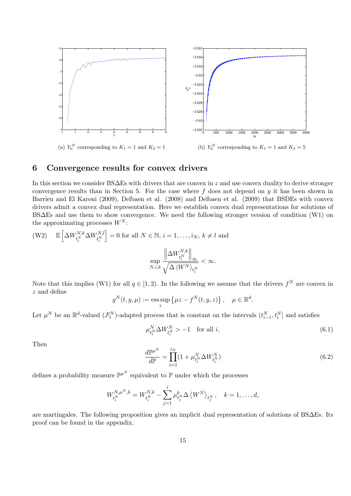

# **6 Convergence results for convex drivers**

In this section we consider BS∆Es with drivers that are convex in *z* and use convex duality to derive stronger convergence results than in Section 5. For the case where  $f$  does not depend on  $y$  it has been shown in Barrieu and El Karoui (2009), Delbaen et al. (2008) and Delbaen et al. (2009) that BSDEs with convex drivers admit a convex dual representation. Here we establish convex dual representations for solutions of BS∆Es and use them to show convergence. We need the following stronger version of condition (W1) on the approximating processes  $W^N$ :

$$
\begin{array}{ll} \displaystyle \left( \mathbf{W2} \right) & \displaystyle \mathbb{E} \left[ \Delta W^{N,k}_{t^{N}_i} \Delta W^{N,l}_{t^{N}_i} \right] = 0 \text{ for all } N \in \mathbb{N}, \, i=1,\ldots,i_N, \, k \neq l \text{ and} \\ & & \\ & \displaystyle \sup_{N,i,k} \frac{\left\| \Delta W^{N,k}_{t^{N}_i} \right\|_{\infty}}{\sqrt{\Delta \left< W^N \right>_{t^{N}_i}}} < \infty. \end{array}
$$

Note that this implies (W1) for all  $q \in [1,2)$ . In the following we assume that the drivers  $f^N$  are convex in *z* and define

$$
g^N(t, y, \mu) := \operatorname{ess} \sup_z \left\{ \mu z - f^N(t, y, z) \right\}, \quad \mu \in \mathbb{R}^d.
$$

Let  $\mu^N$  be an  $\mathbb{R}^d$ -valued  $(\mathcal{F}_t^N)$ -adapted process that is constant on the intervals  $(t_{i-1}^N, t_i^N]$  and satisfies

$$
\mu_{t_i^N}^N \Delta W_{t_i^N}^N > -1 \quad \text{for all } i. \tag{6.1}
$$

Then

$$
\frac{d\mathbb{P}^{\mu^N}}{d\mathbb{P}} = \prod_{i=1}^{i_N} (1 + \mu_{t_i^N}^N \Delta W_{t_i^N}^N)
$$
(6.2)

defines a probability measure  $\mathbb{P}^{\mu^N}$  equivalent to  $\mathbb P$  under which the processes

$$
W_{t_i^N}^{N,\mu^N,k} = W_{t_i^N}^{N,k} - \sum_{j=1}^i \mu_{t_j^N}^k \Delta \left\langle W^N \right\rangle_{t_j^N}, \quad k = 1, \dots, d,
$$

are martingales. The following proposition gives an implicit dual representation of solutions of BS∆Es. Its proof can be found in the appendix.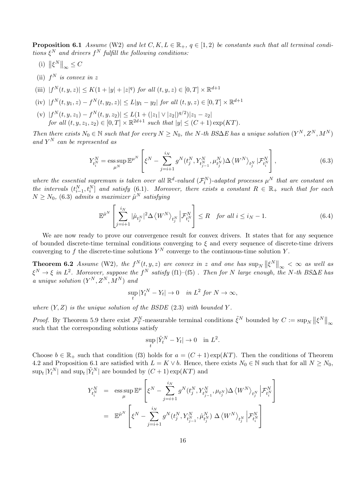**Proposition 6.1** *Assume* (W2) *and let*  $C, K, L \in \mathbb{R}_+$ ,  $q \in [1, 2)$  *be constants such that all terminal conditions ξ <sup>N</sup> and drivers f <sup>N</sup> fulfill the following conditions:*

- (i)  $\left\| \xi^N \right\|_{\infty} \leq C$
- (ii)  $f^N$  *is convex in z*
- (iii)  $|f^N(t, y, z)| \le K(1 + |y| + |z|^q)$  *for all*  $(t, y, z) \in [0, T] \times \mathbb{R}^{d+1}$
- (iv)  $|f^N(t, y_1, z) f^N(t, y_2, z)| \le L|y_1 y_2|$  for all  $(t, y, z) \in [0, T] \times \mathbb{R}^{d+1}$
- $|f^N(t, y, z_1) f^N(t, y, z_2)| \leq L(1 + (|z_1| \vee |z_2|)^{q/2})|z_1 z_2|$ *for all*  $(t, y, z_1, z_2) \in [0, T] \times \mathbb{R}^{2d+1}$  *such that*  $|y| \le (C + 1) \exp(KT)$ *.*

*Then there exists*  $N_0 \in \mathbb{N}$  *such that for every*  $N \geq N_0$ *, the N*-th BS∆*E* has a unique solution  $(Y^N, Z^N, M^N)$ *and Y <sup>N</sup> can be represented as*

$$
Y_{t_i^N}^N = \operatorname*{ess\,sup}_{\mu^N} \mathbb{E}^{\mu^N} \left[ \xi^N - \sum_{j=i+1}^{i_N} g^N(t_j^N, Y_{t_{j-1}^N}^N, \mu_{t_j^N}^N) \Delta \left\langle W^N \right\rangle_{t_j^N} | \mathcal{F}_{t_i^N}^N \right], \tag{6.3}
$$

where the essential supremum is taken over all  $\mathbb{R}^d$ -valued  $(\mathcal{F}_t^N)$ -adapted processes  $\mu^N$  that are constant on *the intervals*  $(t_{i-1}^N, t_i^N]$  *and satisfy* (6.1). Moreover, there exists a constant  $R \in \mathbb{R}_+$  *such that for each*  $N \geq N_0$ , (6.3) *admits a maximizer*  $\hat{\mu}^N$  *satisfying* 

$$
\mathbb{E}^{\hat{\mu}^N} \left[ \sum_{j=i+1}^{i_N} |\hat{\mu}_{t_j^N}|^2 \Delta \left\langle W^N \right\rangle_{t_j^N} \left| \mathcal{F}_{t_i^N}^N \right] \le R \quad \text{for all } i \le i_N - 1. \tag{6.4}
$$

We are now ready to prove our convergence result for convex drivers. It states that for any sequence of bounded discrete-time terminal conditions converging to *ξ* and every sequence of discrete-time drivers converging to  $f$  the discrete-time solutions  $Y^N$  converge to the continuous-time solution  $Y$ .

**Theorem 6.2** *Assume* (W2)*, the*  $f^N(t, y, z)$  *are convex in z and one has*  $\sup_N ||\xi^N||_{\infty} < \infty$  *as well as*  $\xi^N \to \xi$  *in*  $L^2$ *. Moreover, suppose the*  $f^N$  *satisfy* (f1)–(f5) *. Then for*  $N$  *large enough, the*  $N$ *-th*  $BS\Delta E$  *has a* unique solution  $(Y^N, Z^N, M^N)$  and

$$
\sup_t |Y_t^N - Y_t| \to 0 \quad in \ L^2 \ for \ N \to \infty,
$$

*where*  $(Y, Z)$  *is the unique solution of the BSDE*  $(2.3)$  *with bounded*  $Y$ *.* 

*Proof.* By Theorem 5.9 there exist  $\mathcal{F}_T^N$ -measurable terminal conditions  $\tilde{\xi}^N$  bounded by  $C := \sup_N ||\xi^N||_{\infty}$ such that the corresponding solutions satisfy

$$
\sup_t |\tilde{Y}_t^N - Y_t| \to 0 \quad \text{in } L^2.
$$

Choose  $b \in \mathbb{R}_+$  such that condition (f3) holds for  $a = (C+1) \exp(KT)$ . Then the conditions of Theorem 4.2 and Proposition 6.1 are satisfied with  $L = K \vee b$ . Hence, there exists  $N_0 \in \mathbb{N}$  such that for all  $N \ge N_0$ ,  $\sup_t |Y_t^N|$  and  $\sup_t |\tilde{Y}_t^N|$  are bounded by  $(C+1)\exp(KT)$  and

$$
Y_{t_i^N}^N = \operatorname{ess} \sup_{\mu} \mathbb{E}^{\mu} \left[ \xi^N - \sum_{j=i+1}^{i_N} g^N(t_j^N, Y_{t_{j-1}^N}^N, \mu_{t_j^N}) \Delta \langle W^N \rangle_{t_j^N} \Big| \mathcal{F}_{t_i^N}^N \right]
$$
  
=  $\mathbb{E}^{\hat{\mu}^N} \left[ \xi^N - \sum_{j=i+1}^{i_N} g^N(t_j^N, Y_{t_{j-1}^N}^N, \hat{\mu}_{t_j^N}^N) \Delta \langle W^N \rangle_{t_j^N} \Big| \mathcal{F}_{t_i^N}^N \right]$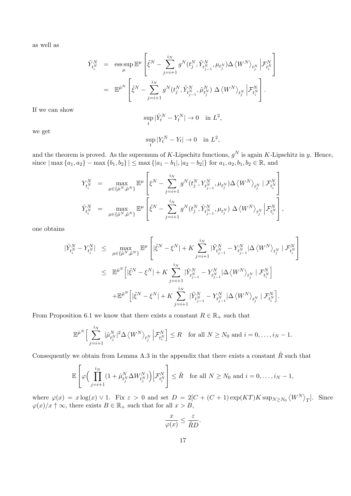as well as

$$
\begin{array}{rcl} \tilde{Y}_{t_i^N}^N & = & \displaystyle \mathrm{ess} \sup_{\mu} \mathbb{E}^{\mu} \left[ \tilde{\xi}^N - \sum_{j=i+1}^{i_N} g^N(t_j^N, \tilde{Y}_{t_{j-1}^N}^N, \mu_{t_j^N}) \Delta \left\langle W^N \right\rangle_{t_j^N} \Big| \mathcal{F}_{t_i^N}^N \right] \\ \\ & = & \mathbb{E}^{\tilde{\mu}^N} \left[ \tilde{\xi}^N - \sum_{j=i+1}^{i_N} g^N(t_j^N, \tilde{Y}_{t_{j-1}^N}^N, \tilde{\mu}_{t_j^N}^N) \; \Delta \left\langle W^N \right\rangle_{t_j^N} \Big| \mathcal{F}_{t_i^N}^N \right]. \end{array}
$$

If we can show

$$
\sup_t |\tilde{Y}_t^N - Y_t^N| \to 0 \quad \text{in } L^2,
$$

we get

$$
\sup_t |Y_t^N - Y_t| \to 0 \quad \text{in } L^2,
$$

and the theorem is proved. As the supremum of *K*-Lipschitz functions,  $g^N$  is again *K*-Lipschitz in *y*. Hence, since  $|\max\{a_1, a_2\} - \max\{b_1, b_2\}| \leq \max\{|a_1 - b_1|, |a_2 - b_2|\}$  for  $a_1, a_2, b_1, b_2 \in \mathbb{R}$ , and

$$
\begin{array}{lll} Y_{t_{i}^{N}}^{N} & = & \max_{\mu \in \{\hat{\mu}^{N}, \hat{\mu}^{N}\}} \mathbb{E}^{\mu} \left[ \xi^{N} - \sum_{j=i+1}^{i_{N}} g^{N}(t_{j}^{N}, Y_{t_{j-1}^{N}}^{N}, \mu_{t_{j}^{N}}) \Delta \left\langle W^{N} \right\rangle_{t_{j}^{N}} \mid \mathcal{F}_{t_{i}^{N}}^{N} \right] \\ \tilde{Y}_{t_{i}^{N}}^{N} & = & \max_{\mu \in \{\hat{\mu}^{N}, \hat{\mu}^{N}\}} \mathbb{E}^{\mu} \left[ \tilde{\xi}^{N} - \sum_{j=i+1}^{i_{N}} g^{N}(t_{j}^{N}, \tilde{Y}_{t_{j-1}^{N}}^{N}, \mu_{t_{j}^{N}}) \Delta \left\langle W^{N} \right\rangle_{t_{j}^{N}} \left| \mathcal{F}_{t_{i}^{N}}^{N} \right| \right], \end{array}
$$

one obtains

$$
\begin{array}{lcl} |\tilde{Y}_{t^{N}_{i}}^{N}-Y_{t^{N}_{i}}^{N}| & \leq & \max_{\mu \in \{\hat{\mu}^{N}, \tilde{\mu}^{N}\}} \mathbb{E}^{\mu} \left[ |\tilde{\xi}^{N}-\xi^{N}|+K \sum_{j=i+1}^{i_{N}} |\tilde{Y}_{t^{N}_{j-1}}^{N}-Y_{t^{N}_{j-1}}^{N}|\Delta\left\langle W^{N}\right\rangle_{t^{N}_{j}} \mid \mathcal{F}_{t^{N}_{i}}^{N} \right] \\ & \leq & \mathbb{E}^{\hat{\mu}^{N}} \Big[ |\tilde{\xi}^{N}-\xi^{N}|+K \sum_{j=i+1}^{i_{N}} |\tilde{Y}_{t^{N}_{j-1}}^{N}-Y_{t^{N}_{j-1}}^{N}|\Delta\left\langle W^{N}\right\rangle_{t^{N}_{j}} \mid \mathcal{F}_{t^{N}_{i}}^{N} \Big] \\ & & \quad + \mathbb{E}^{\tilde{\mu}^{N}} \Big[ |\tilde{\xi}^{N}-\xi^{N}|+K \sum_{j=i+1}^{i_{N}} |\tilde{Y}_{t^{N}_{j-1}}^{N}-Y_{t^{N}_{j-1}}^{N}|\Delta\left\langle W^{N}\right\rangle_{t^{N}_{j}} \mid \mathcal{F}_{t^{N}_{i}}^{N} \Big]. \end{array}
$$

From Proposition 6.1 we know that there exists a constant  $R \in \mathbb{R}_+$  such that

$$
\mathbb{E}^{\hat{\mu}^N}\Big[\sum_{j=i+1}^{i_N}|\hat{\mu}_{t_j^N}^N|^2\Delta\left\langle W^N\right\rangle_{t_j^N}\Big|\mathcal{F}_{t_i^N}^N\Big]\leq R \quad \text{for all } N\geq N_0 \text{ and } i=0,\ldots,i_N-1.
$$

Consequently we obtain from Lemma A.3 in the appendix that there exists a constant  $\tilde{R}$  such that

$$
\mathbb{E}\left[\varphi\Big(\prod_{j=i+1}^{i_N} (1+\hat{\mu}_{t_j^N}^N \Delta W_{t_j^N}^N)\Big)\Big|\mathcal{F}_{t_i^N}^N\right] \leq \tilde{R} \text{ for all } N \geq N_0 \text{ and } i = 0, \ldots, i_N - 1,
$$

where  $\varphi(x) = x \log(x) \vee 1$ . Fix  $\varepsilon > 0$  and set  $D = 2[C + (C + 1) \exp(KT)K \sup_{N \ge N_0} \langle W^N \rangle_T]$ . Since  $\varphi(x)/x \uparrow \infty$ , there exists  $B \in \mathbb{R}_+$  such that for all  $x > B$ ,

$$
\frac{x}{\varphi(x)} \le \frac{\varepsilon}{\tilde{R}D}.
$$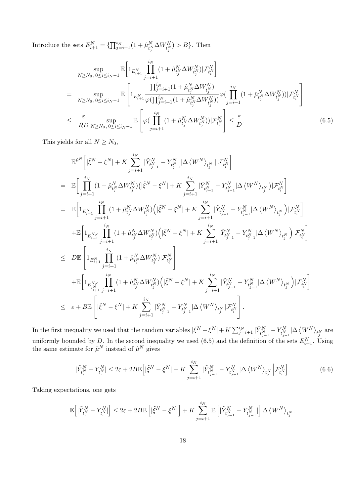Introduce the sets  $E_{i+1}^N = \{\prod_{j=i+1}^{i_N} (1 + \hat{\mu}_{t_j^N}^N \Delta W_{t_j^N}^N) > B\}$ . Then

$$
\sup_{N \ge N_0, 0 \le i \le i_N - 1} \mathbb{E} \bigg[ 1_{E_{i+1}^N} \prod_{j=i+1}^{i_N} (1 + \hat{\mu}_{t_j^N}^N \Delta W_{t_j^N}^N) | \mathcal{F}_{t_i^N}^N \bigg]
$$
\n
$$
= \sup_{N \ge N_0, 0 \le i \le i_N - 1} \mathbb{E} \left[ 1_{E_{i+1}^N} \frac{\prod_{j=i+1}^{i_N} (1 + \hat{\mu}_{t_j^N}^N \Delta W_{t_j^N}^N)}{\varphi(\prod_{j=i+1}^{i_N} (1 + \hat{\mu}_{t_j^N}^N \Delta W_{t_j^N}^N))} \varphi(\prod_{j=i+1}^{i_N} (1 + \hat{\mu}_{t_j^N}^N \Delta W_{t_j^N}^N)) | \mathcal{F}_{t_i^N}^N \bigg] \bigg]
$$
\n
$$
\le \frac{\varepsilon}{\tilde{R}D} \sup_{N \ge N_0, 0 \le i \le i_N - 1} \mathbb{E} \left[ \varphi(\prod_{j=i+1}^{i_N} (1 + \hat{\mu}_{t_j^N}^N \Delta W_{t_j^N}^N)) | \mathcal{F}_{t_i^N}^N \right] \le \frac{\varepsilon}{D}.
$$
\n
$$
(6.5)
$$

This yields for all  $N \geq N_0$ ,

$$
\begin{split} &\mathbb{E}^{\hat{\mu}^{N}}\left[|\tilde{\xi}^{N}-\xi^{N}|+K\sum_{j=i+1}^{i_{N}}|\tilde{Y}_{t_{j-1}}^{N}-Y_{t_{j-1}}^{N}|\Delta\left\langle W^{N}\right\rangle_{t_{j}^{N}}|\mathcal{F}_{t_{i}^{N}}^{N}\right] \\ &=\quad\mathbb{E}\bigg[\prod_{j=i+1}^{i_{N}}(1+\hat{\mu}_{t_{j}^{N}}^{N}\Delta W_{t_{j}^{N}}^{N})(|\tilde{\xi}^{N}-\xi^{N}|+K\sum_{j=i+1}^{i_{N}}|\tilde{Y}_{t_{j-1}^{N}}^{N}-Y_{t_{j-1}^{N}}^{N}|\Delta\left\langle W^{N}\right\rangle_{t_{j}^{N}})|\mathcal{F}_{t_{i}^{N}}^{N}\bigg] \\ &=\quad\mathbb{E}\bigg[1_{E_{i+1}^{N}}\prod_{j=i+1}^{i_{N}}(1+\hat{\mu}_{t_{j}^{N}}^{N}\Delta W_{t_{j}^{N}}^{N})(|\tilde{\xi}^{N}-\xi^{N}|+K\sum_{j=i+1}^{i_{N}}|\tilde{Y}_{t_{j-1}^{N}}^{N}-Y_{t_{j-1}^{N}}^{N}|\Delta\left\langle W^{N}\right\rangle_{t_{j}^{N}})|\mathcal{F}_{t_{i}^{N}}^{N}\bigg] \\ &+\mathbb{E}\bigg[1_{E_{i+1}^{N}}\prod_{j=i+1}^{i_{N}}(1+\hat{\mu}_{t_{j}^{N}}^{N}\Delta W_{t_{j}^{N}}^{N})(|\tilde{\xi}^{N}-\xi^{N}|+K\sum_{j=i+1}^{i_{N}}|\tilde{Y}_{t_{j-1}^{N}}^{N}-Y_{t_{j-1}^{N}}^{N}|\Delta\left\langle W^{N}\right\rangle_{t_{j}^{N}})|\mathcal{F}_{t_{i}^{N}}^{N}\bigg] \\ &\leq \quad D\mathbb{E}\left[1_{E_{i+1}^{N}}\prod_{j=i+1}^{i_{N}}(1+\hat{\mu}_{t_{j}^{N}}^{N}\Delta W_{t_{j}^{N}}^{N})|\mathcal{F}_{t_{i}^{N}}^{N}\right] \\ &+\mathbb{E}\bigg[1_{E_{i_{i+1}^{N}}^{N}}\prod_{j=i+1}^{i_{N}}(1+\hat{\mu}_{t_{j}^{N}}^{N}\Delta W_{t
$$

In the first inequality we used that the random variables  $|\tilde{\xi}^N - \xi^N| + K \sum_{j=i+1}^{i_N} |\tilde{Y}_{t_{j-1}^N}^N - Y_{t_{j-1}^N}^N| \Delta \langle W^N \rangle_{t_j^N}$  are uniformly bounded by *D*. In the second inequality we used (6.5) and the definition of the sets  $E_{i+1}^N$ . Using the same estimate for  $\tilde{\mu}^N$  instead of  $\hat{\mu}^N$  gives

$$
|\tilde{Y}_{t_i^N}^N - Y_{t_i^N}^N| \le 2\varepsilon + 2B\mathbb{E}\Big[|\tilde{\xi}^N - \xi^N| + K\sum_{j=i+1}^{i_N} |\tilde{Y}_{t_{j-1}^N}^N - Y_{t_{j-1}^N}^N| \Delta \langle W^N \rangle_{t_j^N} \Big| \mathcal{F}_{t_i^N}^N\Big].
$$
 (6.6)

Taking expectations, one gets

$$
\mathbb{E}\Big[|\tilde{Y}_{t_i^N}^N-Y_{t_i^N}^N|\Big]\leq 2\varepsilon+2B\mathbb{E}\left[|\tilde{\xi}^N-\xi^N|\right]+K\sum_{j=i+1}^{i_N}\mathbb{E}\left[|\tilde{Y}_{t_{j-1}^N}^N-Y_{t_{j-1}^N}^N|\right]\Delta\left\langle W^N\right\rangle_{t_j^N}.
$$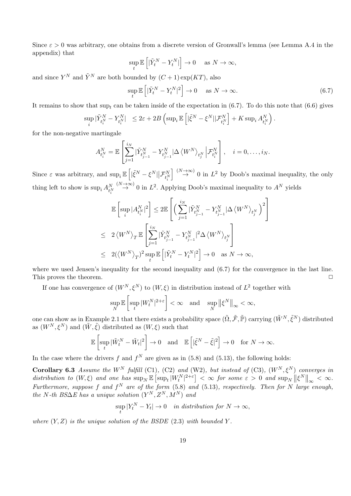Since  $\varepsilon > 0$  was arbitrary, one obtains from a discrete version of Gronwall's lemma (see Lemma A.4 in the appendix) that

$$
\sup_t \mathbb{E}\left[|\tilde{Y}^N_t-Y^N_t|\right] \to 0 \quad \text{ as } N \to \infty,
$$

and since  $Y^N$  and  $\tilde{Y}^N$  are both bounded by  $(C+1) \exp(KT)$ , also

$$
\sup_{t} \mathbb{E}\left[|\tilde{Y}_{t}^{N} - Y_{t}^{N}|^{2}\right] \to 0 \quad \text{ as } N \to \infty.
$$
\n(6.7)

It remains to show that  $\sup_t$  can be taken inside of the expectation in (6.7). To do this note that (6.6) gives

$$
\sup_i |\tilde{Y}^N_{t_i^N}-Y^N_{t_i^N}|\ \leq 2\varepsilon+2B\left(\sup_i \mathbb{E}\left[|\tilde{\xi}^N-\xi^N||\mathcal{F}^N_{t_i^N}\right]+K\sup_i A_{t_i^N}^N\right).
$$

for the non-negative martingale

$$
A_{t_i^N}^N = \mathbb{E}\left[\sum_{j=1}^{i_N} |\tilde{Y}_{t_{j-1}^N}^N - Y_{t_{j-1}^N}^N | \Delta \langle W^N \rangle_{t_j^N} | \mathcal{F}_{t_i^N}^N \right], \quad i = 0, \dots, i_N.
$$

Since  $\varepsilon$  was arbitrary, and  $\sup_i \mathbb{E} \left[ |\tilde{\xi}^N - \xi^N| \Big| \mathcal{F}_{t_i^N}^N \right]$  $\left[\right] \stackrel{(N\to\infty)}{\to} 0$  in  $L^2$  by Doob's maximal inequality, the only thing left to show is  $\sup_i A_{t_i^N}^{N} \stackrel{(N \to \infty)}{\to} 0$  in  $L^2$ . Applying Doob's maximal inequality to  $A^N$  yields

$$
\begin{aligned} &\mathbb{E}\left[\sup_i |A_{t_i^N}^N|^2\right] \leq 2\mathbb{E}\left[\Big(\sum_{j=1}^{i_N}|\tilde{Y}_{t_{j-1}^N}^N-Y_{t_{j-1}^N}^N|\Delta\left\langle W^N\right\rangle_{t_j^N}\Big)^2\right] \\ &\leq 2\left\langle W^N\right\rangle_T\mathbb{E}\left[\sum_{j=1}^{i_N}|\tilde{Y}_{t_{j-1}^N}^N-Y_{t_{j-1}^N}^N|^2\Delta\left\langle W^N\right\rangle_{t_j^N}\right] \\ &\leq 2(\left\langle W^N\right\rangle_T)^2\sup_t\mathbb{E}\left[|\tilde{Y}_t^N-Y_t^N|^2\right] \rightarrow 0 \quad \text{as } N\rightarrow\infty, \end{aligned}
$$

where we used Jensen's inequality for the second inequality and (6.7) for the convergence in the last line. This proves the theorem. **□** 

If one has convergence of  $(W^N, \xi^N)$  to  $(W, \xi)$  in distribution instead of  $L^2$  together with

$$
\sup_N \mathbb{E}\left[\sup_t |W_t^N|^{2+\varepsilon}\right]<\infty \quad \text{and} \quad \sup_N \left\|\xi^N\right\|_\infty<\infty,
$$

one can show as in Example 2.1 that there exists a probability space  $(\tilde{\Omega}, \tilde{\mathcal{F}}, \tilde{\mathbb{P}})$  carrying  $(\tilde{W}^N, \tilde{\xi}^N)$  distributed as  $(W^N, \xi^N)$  and  $(\tilde{W}, \tilde{\xi})$  distributed as  $(W, \xi)$  such that

$$
\mathbb{E}\left[\sup_t|\tilde{W}_t^N-\tilde{W}_t|^2\right]\to 0 \quad \text{and} \quad \mathbb{E}\left[|\tilde{\xi}^N-\tilde{\xi}|^2\right]\to 0 \quad \text{for } N\to\infty.
$$

In the case where the drivers  $f$  and  $f^N$  are given as in (5.8) and (5.13), the following holds:

**Corollary 6.3** *Assume the*  $W^N$  *fulfill* (C1)*,* (C2) *and* (W2)*, but instead of* (C3)*,*  $(W^N, \xi^N)$  *converges in* distribution to  $(W,\xi)$  and one has  $\sup_N \mathbb{E} [\sup_t |W_t^N|^{2+\varepsilon}] < \infty$  for some  $\varepsilon > 0$  and  $\sup_N ||\xi^N||_{\infty} < \infty$ . *assistinguion to*  $(W,\zeta)$  *and one has* sup $N \triangleq \sup W_t + 1 \leq N$  *some*  $\zeta > 0$  *and* sup $N \parallel \zeta \parallel \infty \leq N$ .<br>*Furthermore, suppose f* and *f*<sup>*N*</sup> are of the form (5.8) and (5.13)*, respectively. Then for N large enoug*  $the N-th BS\Delta E$  has a unique solution  $(Y^N, Z^N, M^N)$  and

$$
\sup_t |Y_t^N - Y_t| \to 0 \quad in \ distribution \ for \ N \to \infty,
$$

*where*  $(Y, Z)$  *is the unique solution of the BSDE*  $(2.3)$  *with bounded*  $Y$ *.*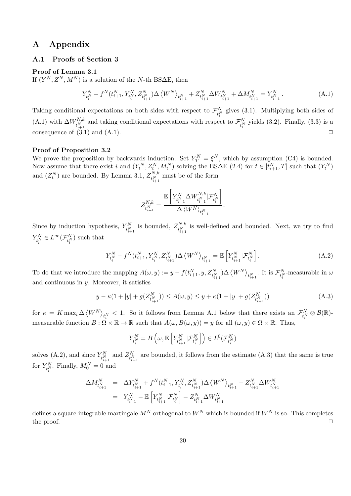# **A Appendix**

#### **A.1 Proofs of Section 3**

#### **Proof of Lemma 3.1**

If  $(Y^N, Z^N, M^N)$  is a solution of the *N*-th BS $\Delta E$ , then

$$
Y_{t_i^N}^N - f^N(t_{i+1}^N, Y_{t_i^N}^N, Z_{t_{i+1}^N}^N) \Delta \left\langle W^N \right\rangle_{t_{i+1}^N} + Z_{t_{i+1}^N}^N \Delta W_{t_{i+1}^N}^N + \Delta M_{t_{i+1}^N}^N = Y_{t_{i+1}^N}^N. \tag{A.1}
$$

Taking conditional expectations on both sides with respect to  $\mathcal{F}_{t_i^N}^N$  gives (3.1). Multiplying both sides of  $(A.1)$  with  $\Delta W_{iN}^{N,k}$  $t_{i+1}^{N,k}$  and taking conditional expectations with respect to  $\mathcal{F}_{t_i^N}^N$  yields (3.2). Finally, (3.3) is a consequence of  $(3.1)$  and  $(A.1)$ .

#### **Proof of Proposition 3.2**

We prove the proposition by backwards induction. Set  $Y_T^N = \xi^N$ , which by assumption (C4) is bounded. Now assume that there exist i and  $(Y_t^N, Z_t^N, M_t^N)$  solving the BS $\Delta E$  (2.4) for  $t \in [t_{i+1}^N, T]$  such that  $(Y_t^N)$ and  $(Z_t^N)$  are bounded. By Lemma 3.1,  $Z_{tN}^{N,k}$  $t^{N,\kappa}_{i+1}$  must be of the form

$$
Z^{N,k}_{t^{N}_{i+1}} = \frac{\mathbb{E}\left[Y^{N}_{t^{N}_{i+1}}\Delta W^{N,k}_{t^{N}_{i+1}}|\mathcal{F}^{N}_{t^{N}_{i}}\right]}{\Delta \left\langle W^{N}\right\rangle_{t^{N}_{i+1}}}.
$$

Since by induction hypothesis,  $Y_{t_{i+1}^N}^N$  is bounded,  $Z_{t_{i+1}^N}^{N,k}$  $t_{i+1}^{N,k}$  is well-defined and bounded. Next, we try to find  $Y_{t_i^N}^N \in L^\infty(\mathcal{F}_{t_i^N}^N)$  such that

$$
Y_{t_i^N}^N - f^N(t_{i+1}^N, Y_{t_i^N}^N, Z_{t_{i+1}^N}^N) \Delta \left\langle W^N \right\rangle_{t_{i+1}^N} = \mathbb{E}\left[ Y_{t_{i+1}^N}^N | \mathcal{F}_{t_i^N}^N \right]. \tag{A.2}
$$

To do that we introduce the mapping  $A(\omega, y) := y - f(t_{i+1}^N, y, Z_{t_{i+1}^N}^N) \Delta \langle W^N \rangle_{t_{i+1}^N}$ . It is  $\mathcal{F}_{t_i^N}^N$ -measurable in  $\omega$ and continuous in *y*. Moreover, it satisfies

$$
y - \kappa (1 + |y| + g(Z_{t_{i+1}^N}^N)) \le A(\omega, y) \le y + \kappa (1 + |y| + g(Z_{t_{i+1}^N}^N))
$$
(A.3)

 $\int_{t_i^N} K = K \max_i \Delta \langle W^N \rangle_{t_i^N} < 1.$  So it follows from Lemma A.1 below that there exists an  $\mathcal{F}_{t_i^N}^N \otimes \mathcal{B}(\mathbb{R})$ measurable function  $B: \Omega \times \mathbb{R} \to \mathbb{R}$  such that  $A(\omega, B(\omega, y)) = y$  for all  $(\omega, y) \in \Omega \times \mathbb{R}$ . Thus,

$$
Y^N_{t^N_i} = B\left(\omega,\mathbb{E}\left[Y^N_{t^N_{i+1}}|\mathcal{F}^N_{t^N_i}\right]\right) \in L^0(\mathcal{F}^N_{t^N_i})
$$

solves (A.2), and since  $Y_{t_{i+1}^N}^N$  and  $Z_{t_{i+1}^N}^N$  are bounded, it follows from the estimate (A.3) that the same is true for  $Y_{t_i^N}$ . Finally,  $M_0^N = 0$  and

$$
\begin{array}{lll} \Delta M_{t_{i+1}^N}^N & = & \Delta Y_{t_{i+1}^N}^N + f^N(t_{i+1}^N,Y_{t_i^N}^N,Z_{t_{i+1}^N}^N) \Delta \left\langle W^N \right\rangle_{t_{i+1}^N} - Z_{t_{i+1}^N}^N \Delta W_{t_{i+1}^N}^N \\ & = & Y_{t_{i+1}^N}^N - \mathbb{E}\left[Y_{t_{i+1}^N}^N|\mathcal{F}_{t_i^N}^N\right] - Z_{t_{i+1}^N}^N \Delta W_{t_{i+1}^N}^N \end{array}
$$

defines a square-integrable martingale  $M^N$  orthogonal to  $W^N$  which is bounded if  $W^N$  is so. This completes the proof. <del>□</del>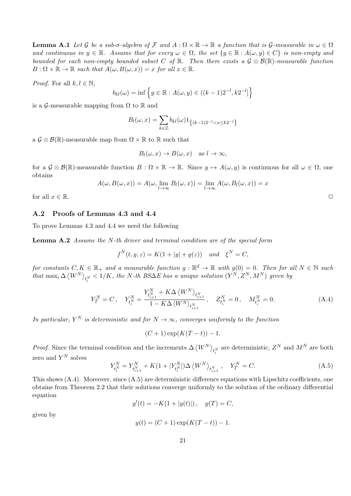**Lemma A.1** Let G be a sub- $\sigma$ -algebra of F and  $A: \Omega \times \mathbb{R} \to \mathbb{R}$  a function that is G-measurable in  $\omega \in \Omega$ *and continuous in*  $y \in \mathbb{R}$ *. Assume that for every*  $\omega \in \Omega$ *, the set*  $\{y \in \mathbb{R} : A(\omega, y) \in C\}$  *is non-empty and bounded for each non-empty bounded subset C of* R*. Then there exists a G ⊗ B*(R)*-measurable function*  $B: \Omega \times \mathbb{R} \to \mathbb{R}$  *such that*  $A(\omega, B(\omega, x)) = x$  *for all*  $x \in \mathbb{R}$ *.* 

*Proof.* For all  $k, l \in \mathbb{N}$ ,

$$
b_{kl}(\omega) = \inf \{ y \in \mathbb{R} : A(\omega, y) \in ((k-1)2^{-l}, k2^{-l}] \}
$$

is a  $\mathcal{G}$ -measurable mapping from  $\Omega$  to  $\mathbb R$  and

$$
B_l(\omega, x) = \sum_{k \in \mathbb{Z}} b_{kl}(\omega) 1_{\{(k-1)2^{-l} < x \le k2^{-l}\}}
$$

a  $\mathcal{G} \otimes \mathcal{B}(\mathbb{R})$ -measurable map from  $\Omega \times \mathbb{R}$  to  $\mathbb{R}$  such that

$$
B_l(\omega, x) \to B(\omega, x) \quad \text{as } l \to \infty,
$$

for a  $\mathcal{G} \otimes \mathcal{B}(\mathbb{R})$ -measurable function  $B: \Omega \times \mathbb{R} \to \mathbb{R}$ . Since  $y \mapsto A(\omega, y)$  is continuous for all  $\omega \in \Omega$ , one obtains

$$
A(\omega, B(\omega, x)) = A(\omega, \lim_{l \to \infty} B_l(\omega, x)) = \lim_{l \to \infty} A(\omega, B_l(\omega, x)) = x
$$
  
for all  $x \in \mathbb{R}$ .

#### **A.2 Proofs of Lemmas 4.3 and 4.4**

To prove Lemmas 4.3 and 4.4 we need the following

**Lemma A.2** *Assume the N-th driver and terminal condition are of the special form*

$$
f^{N}(t, y, z) = K(1 + |y| + g(z))
$$
 and  $\xi^{N} = C$ ,

 $f$ or constants  $C, K \in \mathbb{R}_+$  and a measurable function  $g : \mathbb{R}^d \to \mathbb{R}$  with  $g(0) = 0$ . Then for all  $N \in \mathbb{N}$  such that  $\max_i \Delta \langle W^N \rangle_{t_i^N} < 1/K$ , the N-th BS $\Delta E$  has a unique solution  $(Y^N,Z^N,M^N)$  given by

$$
Y_T^N = C, \quad Y_{t_i^N}^N = \frac{Y_{t_{i+1}^N}^N + K\Delta \langle W^N \rangle_{t_{i+1}^N}}{1 - K\Delta \langle W^N \rangle_{t_{i+1}^N}}, \quad Z_{t_i^N}^N = 0, \quad M_{t_i^N}^N = 0.
$$
\n(A.4)

*In particular,*  $Y^N$  *is deterministic and for*  $N \to \infty$ *, converges uniformly to the function* 

$$
(C+1)\exp(K(T-t))-1.
$$

*Proof.* Since the terminal condition and the increments  $\Delta \langle W^N \rangle_{t_i^N}$  are deterministic,  $Z^N$  and  $M^N$  are both zero and  $Y^N$  solves

$$
Y_{t_i^N}^N = Y_{t_{i+1}^N}^N + K(1 + |Y_{t_i^N}^N|) \Delta \left\langle W^N \right\rangle_{t_{i+1}^N}, \quad Y_T^N = C. \tag{A.5}
$$

This shows  $(A.4)$ . Moreover, since  $(A.5)$  are deterministic difference equations with Lipschitz coefficients, one obtains from Theorem 2.2 that their solutions converge uniformly to the solution of the ordinary differential equation

$$
y'(t) = -K(1 + |y(t)|), \quad y(T) = C,
$$

given by

$$
y(t) = (C+1)\exp(K(T-t)) - 1.
$$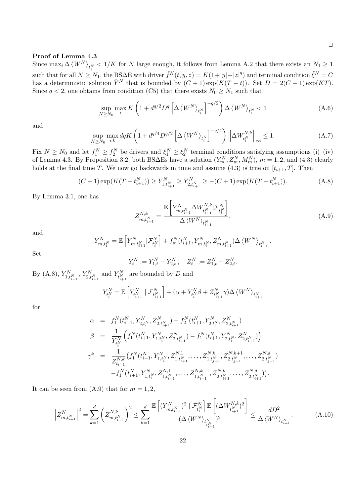### **Proof of Lemma 4.3**

Since  $\max_i \Delta \langle W^N \rangle_{t_i^N} < 1/K$  for *N* large enough, it follows from Lemma A.2 that there exists an  $N_1 \ge 1$ such that for all  $N \geq N_1$ , the BS $\Delta$ E with driver  $\hat{f}^N(t, y, z) = K(1+|y|+|z|^q)$  and terminal condition  $\hat{\xi}^N = C$ has a deterministic solution  $\hat{Y}^N$  that is bounded by  $(C+1) \exp(K(T-t))$ . Set  $D = 2(C+1) \exp(KT)$ . Since  $q < 2$ , one obtains from condition (C5) that there exists  $N_0 \geq N_1$  such that

$$
\sup_{N\geq N_0} \max_i K\left(1 + d^{q/2} D^q \left[\Delta \left\langle W^N \right\rangle_{t_i^N}\right]^{-q/2}\right) \Delta \left\langle W^N \right\rangle_{t_i^N} < 1 \tag{A.6}
$$

and

$$
\sup_{N \ge N_0} \max_{i,k} dqK\left(1 + d^{q/4}D^{q/2} \left[\Delta \left\langle W^N \right\rangle_{t_i^N}\right]^{-q/4}\right) \left\|\Delta W_{t_i^N}^{N,k}\right\|_{\infty} \le 1. \tag{A.7}
$$

Fix  $N \ge N_0$  and let  $f_1^N \ge f_2^N$  be drivers and  $\xi_1^N \ge \xi_2^N$  terminal conditions satisfying assumptions (i)–(iv) of Lemma 4.3. By Proposition 3.2, both BS $\Delta$ Es have a solution  $(Y_m^N, Z_m^N, M_m^N)$ ,  $m = 1, 2$ , and (4.3) clearly holds at the final time *T*. We now go backwards in time and assume  $(4.3)$  is true on  $[t_{i+1}, T]$ . Then

$$
(C+1)\exp(K(T-t_{i+1}^N)) \ge Y_{1,t_{i+1}^N}^N \ge Y_{2,t_{i+1}^N}^N \ge -(C+1)\exp(K(T-t_{i+1}^N)).
$$
\n(A.8)

By Lemma 3.1, one has

$$
Z_{m,t_{i+1}^N}^{N,k} = \frac{\mathbb{E}\left[Y_{m,t_{i+1}^N}^N \Delta W_{t_{i+1}^N}^{N,k} | \mathcal{F}_{t_i^N}^N\right]}{\Delta \langle W^N \rangle_{t_{i+1}^N}},\tag{A.9}
$$

and

$$
Y_{m,t_i^N}^N = \mathbb{E}\left[ Y_{m,t_{i+1}^N}^N | \mathcal{F}_{t_i^N}^N \right] + f_m^N(t_{i+1}^N,Y_{m,t_i^N}^N,Z_{m,t_{i+1}^N}^N) \Delta \left\langle W^N \right\rangle_{t_{i+1}^N}.
$$

Set

$$
Y_t^N := Y_{1,t}^N - Y_{2,t}^N, \quad Z_t^N := Z_{1,t}^N - Z_{2,t}^N.
$$

By (A.8),  $Y_{1,t_{i+1}^N}^N$ ,  $Y_{2,t_{i+1}^N}^N$  and  $Y_{t_{i+1}^N}^N$  are bounded by *D* and

$$
Y^N_{t^N_i} = \mathbb{E}\left[ Y^N_{t^N_{i+1}} \mid \mathcal{F}^N_{t^N_{i+1}} \right] + (\alpha + Y^N_{t^N_i}\beta + Z^N_{t^N_{i+1}}\gamma)\Delta\left\langle W^N \right\rangle_{t^N_{i+1}}
$$

for

$$
\alpha = f_1^N(t_{i+1}^N, Y_{2,t_i^N}^N, Z_{2,t_{i+1}^N}^N) - f_2^N(t_{i+1}^N, Y_{2,t_i^N}^N, Z_{2,t_{i+1}^N}^N)
$$
\n
$$
\beta = \frac{1}{Y_{t_i^N}^N} \left( f_1^N(t_{i+1}^N, Y_{1,t_i^N}^N, Z_{2,t_{i+1}^N}^N) - f_1^N(t_{i+1}^N, Y_{2,t_i^N}^N, Z_{2,t_{i+1}^N}^N) \right)
$$
\n
$$
\gamma^k = \frac{1}{Z_{t_{i+1}}^{N,k}} \left( f_1^N(t_{i+1}^N, Y_{1,t_i^N}^N, Z_{1,t_{i+1}^N}^N, \dots, Z_{1,t_{j+1}^N}^{N,k}, Z_{2,t_{j+1}^N}^{N,k+1}, \dots, Z_{2,t_{j+1}^N}^{N,d} \right)
$$
\n
$$
-f_1^N(t_{i+1}^N, Y_{1,t_i^N}^N, Z_{1,t_{i+1}^N}^{N,1}, \dots, Z_{1,t_{i+1}^N}^{N,k-1}, Z_{2,t_{i+1}^N}^{N,k}, \dots, Z_{2,t_{i+1}^N}^{N,d})).
$$

It can be seen from  $(A.9)$  that for  $m = 1, 2$ ,

$$
\left| Z_{m,t_{i+1}^N}^N \right|^2 = \sum_{k=1}^d \left( Z_{m,t_{i+1}^N}^{N,k} \right)^2 \le \sum_{k=1}^d \frac{\mathbb{E} \left[ (Y_{m,t_{i+1}^N}^N)^2 \mid \mathcal{F}_{t_i^N}^N \right] \mathbb{E} \left[ (\Delta W_{t_{i+1}^N}^{N,k})^2 \right]}{(\Delta \langle W^N \rangle_{t_{i+1}^N})^2} \le \frac{dD^2}{\Delta \langle W^N \rangle_{t_{i+1}^N}}. \tag{A.10}
$$

22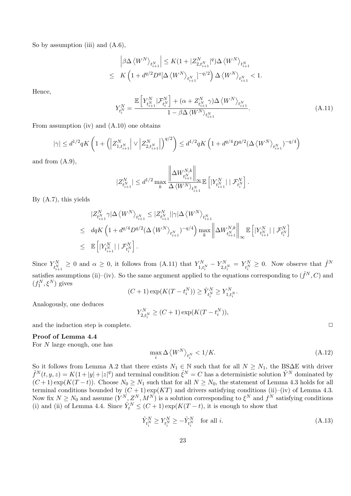So by assumption (iii) and  $(A.6)$ ,

$$
\left|\beta\Delta\left\langle W^N\right\rangle_{t_{i+1}^N}\right| \leq K(1+|Z_{2,t_{i+1}^N}^N|^q)\Delta\left\langle W^N\right\rangle_{t_{i+1}^N} \leq K\left(1+d^{q/2}D^q[\Delta\left\langle W^N\right\rangle_{t_{i+1}^N}]^{-q/2}\right)\Delta\left\langle W^N\right\rangle_{t_{i+1}^N} < 1.
$$

Hence,

$$
Y_{t_i^N}^N = \frac{\mathbb{E}\left[Y_{t_{i+1}^N}^N | \mathcal{F}_{t_i^N}^N\right] + (\alpha + Z_{t_{i+1}^N}^N \gamma) \Delta \left\langle W^N \right\rangle_{t_{i+1}^N}}{1 - \beta \Delta \left\langle W^N \right\rangle_{t_{i+1}^N}}.
$$
\n(A.11)

From assumption (iv) and (A.10) one obtains

$$
|\gamma| \leq d^{1/2} q K\left(1 + \left(\left|Z^N_{1,t^N_{i+1}}\right| \vee \left|Z^N_{2,t^N_{i+1}}\right|\right)^{q/2}\right) \leq d^{1/2} q K\left(1 + d^{q/4} D^{q/2} (\Delta \left\langle W^N\right\rangle_{t^N_{i+1}})^{-q/4}\right)
$$

and from (A.9),

$$
|Z_{t_{i+1}^N}^N| \leq d^{1/2} \max_{k} \frac{\left\| \Delta W_{t_{i+1}^N}^{N,k} \right\|_\infty}{\Delta \left\langle W^N \right\rangle_{t_{i+1}^N}} \mathbb{E}\left[|Y_{t_{i+1}^N}^N| \mid \mathcal{F}_{t_i^N}^N \right].
$$

By (A.7), this yields

$$
\begin{split} &|Z_{t_{i+1}^N}^N \gamma| \Delta \left\langle W^N \right\rangle_{t_{i+1}^N} \leq |Z_{t_{i+1}^N}^N| |\gamma| \Delta \left\langle W^N \right\rangle_{t_{i+1}^N} \\ &\leq \;\; dq K \left( 1 + d^{q/4} D^{q/2} (\Delta \left\langle W^N \right\rangle_{t_{i+1}^N})^{-q/4} \right) \max_{k} \left\| \Delta W_{t_{i+1}^N}^{N,k} \right\|_\infty \, \mathbb{E} \left[ |Y_{t_{i+1}^N}^N| \mid \mathcal{F}_{t_i^N}^N \right] \\ &\leq \;\; \mathbb{E} \left[ |Y_{t_{i+1}^N}^N| \mid \mathcal{F}_{t_i^N}^N \right]. \end{split}
$$

Since  $Y_{t_{i+1}^N}^N \geq 0$  and  $\alpha \geq 0$ , it follows from (A.11) that  $Y_{1,t_i^N}^N - Y_{2,t_i^N}^N = Y_{t_i^N}^N \geq 0$ . Now observe that  $\hat{f}^N$ satisfies assumptions (ii)–(iv). So the same argument applied to the equations corresponding to  $(\hat{f}^N, C)$  and  $(f_1^N, \xi^N)$  gives

$$
(C+1)\exp(K(T-t_i^N)) \ge \hat{Y}_{t_i^N}^N \ge Y_{1,t_i^N}^N.
$$

Analogously, one deduces

$$
Y_{2,t_i^N}^N \ge (C+1) \exp(K(T-t_i^N)),
$$

and the induction step is complete.  $\Box$ 

#### **Proof of Lemma 4.4**

For *N* large enough, one has

$$
\max_{i} \Delta \left\langle W^N \right\rangle_{t_i^N} < 1/K. \tag{A.12}
$$

So it follows from Lemma A.2 that there exists  $N_1 \in \mathbb{N}$  such that for all  $N \geq N_1$ , the BS $\Delta E$  with driver  $\hat{f}^N(t, y, z) = K(1+|y|+|z|^q)$  and terminal condition  $\hat{\xi}^N = C$  has a deterministic solution  $\hat{Y}^N$  dominated by  $(C+1) \exp(K(T-t))$ . Choose  $N_0 \geq N_1$  such that for all  $N \geq N_0$ , the statement of Lemma 4.3 holds for all terminal conditions bounded by  $(C+1) \exp(KT)$  and drivers satisfying conditions (ii)–(iv) of Lemma 4.3. Now fix  $N \ge N_0$  and assume  $(Y^N, Z^N, M^N)$  is a solution corresponding to  $\xi^N$  and  $f^N$  satisfying conditions (i) and (ii) of Lemma 4.4. Since  $\hat{Y}^N_t \leq (C+1) \exp(K(T-t))$ , it is enough to show that

$$
\hat{Y}_{t_i^N}^N \ge Y_{t_i^N}^N \ge -\hat{Y}_{t_i^N}^N \quad \text{for all } i. \tag{A.13}
$$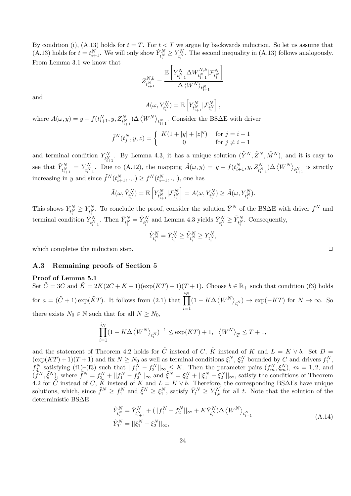By condition (i), (A.13) holds for  $t = T$ . For  $t < T$  we argue by backwards induction. So let us assume that (A.13) holds for  $t = t_{i+1}^N$ . We will only show  $\hat{Y}_{t_i^N}^N \ge Y_{t_i^N}^N$ . The second inequality in (A.13) follows analogously. From Lemma 3.1 we know that

$$
Z^{N,k}_{t^{N}_{i+1}} = \frac{\mathbb{E}\left[Y^{N}_{t^{N}_{i+1}}\Delta W^{N,k}_{t^{N}_{i+1}}|\mathcal{F}^{N}_{t^{N}_{i}}\right]}{\Delta\left\langle W^{N}\right\rangle_{t^{N}_{i+1}}}
$$

and

$$
A(\omega, Y_{t_i^N}^N) = \mathbb{E}\left[Y_{t_{i+1}^N}^N|\mathcal{F}_{t_i^N}^N\right],
$$

where  $A(\omega, y) = y - f(t_{i+1}^N, y, Z_{t_{i+1}^N}^N) \Delta \langle W^N \rangle_{t_{i+1}^N}$ . Consider the BS $\Delta E$  with driver

$$
\tilde{f}^{N}(t_{j}^{N}, y, z) = \begin{cases} K(1 + |y| + |z|^{q}) & \text{for } j = i + 1 \\ 0 & \text{for } j \neq i + 1 \end{cases}
$$

and terminal condition  $Y_{t_{i+1}^N}^N$ . By Lemma 4.3, it has a unique solution  $(\tilde{Y}^N, \tilde{Z}^N, \tilde{M}^N)$ , and it is easy to see that  $\tilde{Y}_{t_{i+1}^N}^N = Y_{t_{i+1}^N}^N$ . Due to (A.12), the mapping  $\tilde{A}(\omega, y) = y - \tilde{f}(t_{i+1}^N, y, Z_{t_{i+1}^N}^N) \Delta \langle W^N \rangle_{t_{i+1}^N}$  is strictly increasing in *y* and since  $\tilde{f}^N(t_{i+1}^N, \ldots) \ge f^N(t_{i+1}^N, \ldots)$ , one has

$$
\tilde{A}(\omega, \tilde{Y}_{t_i^N}^N) = \mathbb{E}\left[Y_{t_{i+1}^N}^N | \mathcal{F}_{t_i^N}^N\right] = A(\omega, Y_{t_i^N}^N) \ge \tilde{A}(\omega, Y_{t_i^N}^N).
$$

This shows  $\tilde{Y}_{t_i^N}^N \ge Y_{t_i^N}^N$ . To conclude the proof, consider the solution  $\bar{Y}^N$  of the BS∆E with driver  $\tilde{f}^N$  and terminal condition  $\hat{Y}_{t_{i+1}^N}^N$ . Then  $\bar{Y}_{t_i^N}^N = \hat{Y}_{t_i^N}^N$  and Lemma 4.3 yields  $\bar{Y}_{t_i^N}^N \ge \tilde{Y}_{t_i^N}^N$ . Consequently,

$$
\hat{Y}^N_{t^N_i} = \bar{Y}^N_{t^N_i} \geq \tilde{Y}^N_{t^N_i} \geq Y^N_{t^N_i},
$$

which completes the induction step.  $\Box$ 

#### **A.3 Remaining proofs of Section 5**

#### **Proof of Lemma 5.1**

Set  $\tilde{C} = 3C$  and  $\tilde{K} = 2K(2C + K + 1)(\exp(KT) + 1)(T + 1)$ . Choose  $b \in \mathbb{R}_+$  such that condition (f3) holds for  $a = (\tilde{C} + 1) \exp(\tilde{K}T)$ . It follows from (2.1) that  $\Pi$ *iN i*=1  $(1 - K\Delta \langle W^N \rangle_{t_i^N}) \rightarrow \exp(-KT)$  for  $N \rightarrow \infty$ . So there exists  $N_0 \in \mathbb{N}$  such that for all  $N \geq N_0$ ,

$$
\prod_{i=1}^{i_N} (1 - K\Delta \langle W^N \rangle_{t_i^N})^{-1} \le \exp(KT) + 1, \quad \langle W^N \rangle_T \le T + 1,
$$

and the statement of Theorem 4.2 holds for  $\tilde{C}$  instead of *C*,  $\tilde{K}$  instead of *K* and  $L = K \vee b$ . Set  $D =$  $(\exp(KT) + 1)(T + 1)$  and fix  $N \geq N_0$  as well as terminal conditions  $\xi_1^N$ ,  $\xi_2^N$  bounded by *C* and drivers  $f_1^N$ ,  $f_2^N$  satisfying (f1)–(f3) such that  $||f_1^N - f_2^N||_{\infty} \leq K$ . Then the parameter pairs  $(f_m^N, \xi_m^N), m = 1, 2$ , and  $(\tilde{f}^N, \tilde{\xi}^N)$ , where  $\tilde{f}^N = f_2^N + ||f_1^N - f_2^N||_{\infty}$  and  $\tilde{\xi}^N = \xi_2^N + ||\xi_1^N - \xi_2^N||_{\infty}$ , satisfy the conditions of Theorem 4.2 for  $\tilde{C}$  instead of *C*,  $\tilde{K}$  instead of *K* and  $L = K \vee b$ . Therefore, the corresponding BS $\Delta$ Es have unique solutions, which, since  $\tilde{f}^N \geq f_1^N$  and  $\tilde{\xi}^N \geq \xi_1^N$ , satisfy  $\tilde{Y}_t^N \geq Y_{1,t}^N$  for all t. Note that the solution of the deterministic BS∆E

$$
\hat{Y}_{t_i^N}^N = \hat{Y}_{t_{i+1}^N}^N + (||f_1^N - f_2^N||_{\infty} + K\hat{Y}_{t_i^N}^N) \Delta \langle W^N \rangle_{t_{i+1}^N}
$$
\n
$$
\hat{Y}_T^N = ||\xi_1^N - \xi_2^N||_{\infty},
$$
\n(A.14)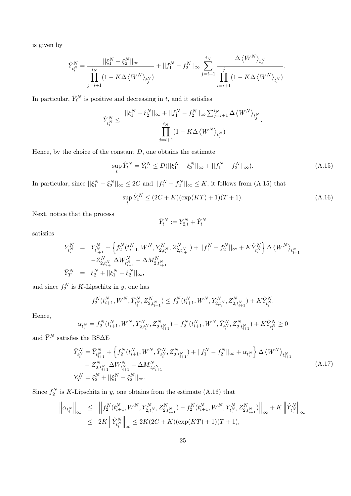is given by

$$
\hat{Y}_{t_i^N}^N = \frac{||\xi_1^N - \xi_2^N||_{\infty}}{\prod_{j=i+1}^N (1 - K\Delta \langle W^N \rangle_{t_j^N})} + ||f_1^N - f_2^N||_{\infty} \sum_{j=i+1}^{i_N} \frac{\Delta \langle W^N \rangle_{t_j^N}}{\prod_{l=i+1}^j (1 - K\Delta \langle W^N \rangle_{t_l^N})}.
$$

In particular,  $\hat{Y}^N_t$  is positive and decreasing in *t*, and it satisfies

$$
\hat{Y}^N_{t^N_i} \leq \ \frac{||\xi^N_1 - \xi^N_2||_\infty + ||f^N_1 - f^N_2||_\infty \sum_{j=i+1}^{i_N} \Delta \left\langle W^N\right\rangle_{t^N_j}}{\displaystyle\prod_{j=i+1}^{i_N}\left(1 - K \Delta \left\langle W^N\right\rangle_{t^N_j}\right)}.
$$

Hence, by the choice of the constant *D*, one obtains the estimate

$$
\sup_{t} \hat{Y}_{t}^{N} = \hat{Y}_{0}^{N} \le D(||\xi_{1}^{N} - \xi_{2}^{N}||_{\infty} + ||f_{1}^{N} - f_{2}^{N}||_{\infty}).
$$
\n(A.15)

In particular, since  $||\xi_1^N - \xi_2^N||_{\infty} \le 2C$  and  $||f_1^N - f_2^N||_{\infty} \le K$ , it follows from (A.15) that

$$
\sup_{t} \hat{Y}_{t}^{N} \le (2C + K)(\exp(KT) + 1)(T + 1). \tag{A.16}
$$

Next, notice that the process

$$
\bar{Y}^N_t := Y^N_{2,t} + \hat{Y}^N_t
$$

satisfies

$$
\begin{array}{lll} \bar{Y}_{t_i^N}^N & = & \bar{Y}_{t_{i+1}^N}^N + \left\{f_2^N(t_{i+1}^N,W^N,Y_{2,t_i^N}^N,Z_{2,t_{i+1}^N}^N) + ||f_1^N - f_2^N||_\infty + K \hat{Y}_{t_i^N}^N\right\} \Delta \left\langle W^N\right\rangle_{t_{i+1}^N} \\ & & - Z_{2,t_{i+1}^N}^N \Delta W_{t_{i+1}^N}^N - \Delta M_{2,t_{i+1}^N}^N \\ \bar{Y}_T^N & = & \xi_2^N + ||\xi_1^N - \xi_2^N||_\infty, \end{array}
$$

and since  $f_2^N$  is K-Lipschitz in *y*, one has

$$
f_2^N(t^N_{i+1}, W^N, \bar{Y}^N_{t^N_i}, Z^N_{2,t^N_{i+1}}) \leq f_2^N(t^N_{i+1}, W^N, Y^N_{2,t^N_i}, Z^N_{2,t^N_{i+1}}) + K \hat{Y}^N_{t^N_i}.
$$

Hence,

$$
\alpha_{t_i^N}=f_2^N(t_{i+1}^N,W^N,Y_{2,t_i^N}^N,Z_{2,t_{i+1}^N}^N)-f_2^N(t_{i+1}^N,W^N,\bar Y_{t_i^N}^N,Z_{2,t_{i+1}^N}^N)+K\hat Y_{t_i^N}^N\geq 0
$$

and  $\bar{Y}^N$  satisfies the BS $\!\Delta \mathrm{E}$ 

$$
\begin{split} \bar{Y}_{t_i^N}^N &= \bar{Y}_{t_{i+1}^N}^N + \left\{ f_2^N(t_{i+1}^N, W^N, \bar{Y}_{t_i^N}^N, Z_{2,t_{i+1}^N}^N) + ||f_1^N - f_2^N||_{\infty} + \alpha_{t_i^N} \right\} \Delta \left\langle W^N \right\rangle_{t_{i+1}^N} \\ &- Z_{2,t_{i+1}^N}^N \Delta W_{t_{i+1}^N}^N - \Delta M_{2,t_{i+1}^N}^N \\ \bar{Y}_T^N &= \xi_2^N + ||\xi_1^N - \xi_2^N||_{\infty} . \end{split} \tag{A.17}
$$

Since  $f_2^N$  is K-Lipschitz in *y*, one obtains from the estimate (A.16) that

$$
\left\|\alpha_{t_i^N}\right\|_{\infty} \leq \left\|f_2^N(t_{i+1}^N, W^N, Y_{2,t_i^N}^N, Z_{2,t_{i+1}^N}^N) - f_2^N(t_{i+1}^N, W^N, \bar{Y}_{t_i^N}^N, Z_{2,t_{i+1}^N}^N)\right\|_{\infty} + K\left\|\hat{Y}_{t_i^N}^N\right\|_{\infty}
$$
  

$$
\leq 2K\left\|\hat{Y}_{t_i^N}^N\right\|_{\infty} \leq 2K(2C+K)(\exp(KT)+1)(T+1),
$$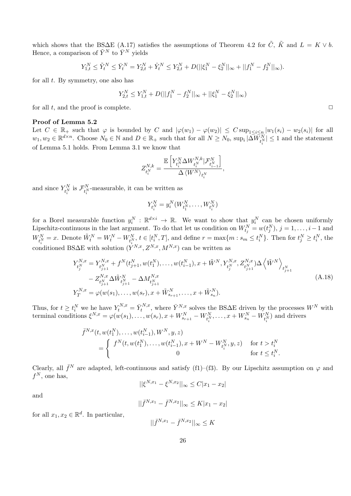which shows that the BS $\Delta E$  (A.17) satisfies the assumptions of Theorem 4.2 for  $\tilde{C}$ ,  $\tilde{K}$  and  $L = K \vee b$ . Hence, a comparison of  $\tilde{Y}^N$  to  $\bar{Y}^N$  yields

$$
Y_{1,t}^N \leq \tilde{Y}_t^N \leq \bar{Y}_t^N = Y_{2,t}^N + \hat{Y}_t^N \leq Y_{2,t}^N + D(||\xi_1^N - \xi_2^N||_{\infty} + ||f_1^N - f_2^N||_{\infty}).
$$

for all *t*. By symmetry, one also has

$$
Y_{2,t}^N \le Y_{1,t}^N + D(||f_1^N - f_2^N||_{\infty} + ||\xi_1^N - \xi_2^N||_{\infty})
$$

for all  $t$ , and the proof is complete.  $\Box$ 

#### **Proof of Lemma 5.2**

Let  $C \in \mathbb{R}_+$  such that  $\varphi$  is bounded by C and  $|\varphi(w_1) - \varphi(w_2)| \leq C \sup_{1 \leq i \leq n} |w_1(s_i) - w_2(s_i)|$  for all  $w_1, w_2 \in \mathbb{R}^{d \times n}$ . Choose  $N_0 \in \mathbb{N}$  and  $D \in \mathbb{R}_+$  such that for all  $N \ge N_0$ ,  $\sup_i |\Delta W^N_{t_i^N}| \le 1$  and the statement of Lemma 5.1 holds. From Lemma 3.1 we know that

$$
Z_{t_i^N}^{N,k} = \frac{\mathbb{E}\left[Y_{t_i^N}^N \Delta W_{t_i^N}^{N,k}|\mathcal{F}_{t_{i-1}^N}^N\right]}{\Delta\left\langle W^N\right\rangle_{t_i^N}},
$$

and since  $Y_{t_i^N}^N$  is  $\mathcal{F}_{t_i^N}^N$ -measurable, it can be written as

$$
Y_{t_i^N}^N = y_i^N(W_{t_1^N}^N, \ldots, W_{t_i^N}^N)
$$

for a Borel measurable function  $y_i^N : \mathbb{R}^{d \times i} \to \mathbb{R}$ . We want to show that  $y_i^N$  can be chosen uniformly Lipschitz-continuous in the last argument. To do that let us condition on  $W_{t_j}^N = w(t_j^N)$ ,  $j = 1, \ldots, i-1$  and  $W_{t_i^N}^N = x$ . Denote  $\tilde{W}_t^N = W_t^N - W_{t_i^N}^N$ ,  $t \in [t_i^N, T]$ , and define  $r = \max\{m : s_m \leq t_i^N\}$ . Then for  $t_j^N \geq t_i^N$ , the conditioned BS $\Delta$ E with solution  $(Y^{N,x}, Z^{N,x}, M^{N,x})$  can be written as

$$
Y_{t_j^N}^{N,x} = Y_{t_{j+1}^N}^{N,x} + f^N(t_{j+1}^N, w(t_1^N), \dots, w(t_{i-1}^N), x + \tilde{W}^N, Y_{t_j^N}^{N,x}, Z_{t_{j+1}^N}^{N,x}) \Delta \left\langle \tilde{W}^N \right\rangle_{t_{j+1}^N} - Z_{t_{j+1}^N}^{N,x} \Delta \tilde{W}_{t_{j+1}^N}^N - \Delta M_{t_{j+1}^N}^{N,x} Y_T^{N,x} = \varphi(w(s_1), \dots, w(s_r), x + \tilde{W}_{s_{r+1}}^N, \dots, x + \tilde{W}_{s_n}^N).
$$
\n(A.18)

Thus, for  $t \geq t_i^N$  we he have  $Y_t^{N,x} = \overline{Y}_t^{N,x}$ , where  $\overline{Y}_{t}^{N,x}$  solves the BS $\Delta E$  driven by the processes  $W^N$  with terminal conditions  $\xi^{N,x} = \varphi(w(s_1), \dots, w(s_r), x + W_{s_{r+1}}^N - W_{t_i^N}^N, \dots, x + W_{s_n}^N - W_{t_i^N}^N)$  and drivers

$$
\bar{f}^{N,x}(t, w(t_1^N), \dots, w(t_{i-1}^N), W^N, y, z)
$$
\n
$$
= \begin{cases}\nf^N(t, w(t_1^N), \dots, w(t_{i-1}^N), x + W^N - W_{t_i^N}^N, y, z) & \text{for } t > t_i^N \\
0 & \text{for } t \le t_i^N.\n\end{cases}
$$

Clearly, all  $\bar{f}^N$  are adapted, left-continuous and satisfy (f1)–(f3). By our Lipschitz assumption on  $\varphi$  and  $f^N$ , one has,

$$
||\xi^{N,x_1} - \xi^{N,x_2}||_{\infty} \le C|x_1 - x_2|
$$

and

$$
||\bar{f}^{N,x_1} - \bar{f}^{N,x_2}||_{\infty} \le K|x_1 - x_2|
$$

for all  $x_1, x_2 \in \mathbb{R}^d$ . In particular,

$$
||\bar{f}^{N,x_1} - \bar{f}^{N,x_2}||_{\infty} \le K
$$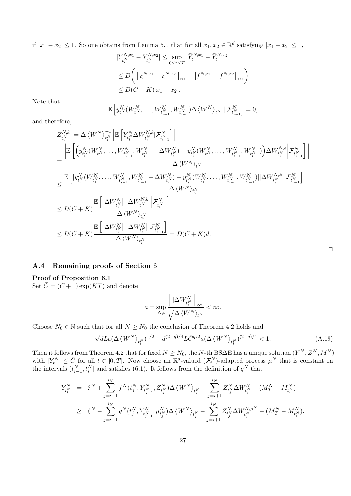if  $|x_1 - x_2|$  ≤ 1. So one obtains from Lemma 5.1 that for all  $x_1, x_2 \in \mathbb{R}^d$  satisfying  $|x_1 - x_2|$  ≤ 1,

$$
\begin{aligned} |Y_{t_i^N}^{N,x_1} - Y_{t_i^N}^{N,x_2}| &\leq \sup_{0 \leq t \leq T} |\bar{Y}_t^{N,x_1} - \bar{Y}_t^{N,x_2}| \\ &\leq D \bigg( \left\| \xi^{N,x_1} - \xi^{N,x_2} \right\|_{\infty} + \left\| \bar{f}^{N,x_1} - \bar{f}^{N,x_2} \right\|_{\infty} \bigg) \\ &\leq D(C+K)|x_1 - x_2|. \end{aligned}
$$

Note that

$$
\mathbb{E}\left[y_{t_i^N}^N(W_{t_1^N}^N,\ldots,W_{t_{i-1}^N}^N,W_{t_{i-1}^N}^N)\Delta\left\langle W^N\right\rangle_{t_i^N} \mid \mathcal{F}_{t_{i-1}^N}^N\right] = 0,
$$

and therefore,

$$
\begin{split} &|Z_{t_i^N}^{N,k}| = \Delta \left\langle W^N \right\rangle_{t_i^N}^{-1} \left| \mathbb{E} \left[ Y_{t_i^N}^N \Delta W_{t_i^N}^{N,k} | \mathcal{F}_{t_{i-1}^N}^N \right] \right| \\ &= \frac{\left| \mathbb{E} \left[ \left( y_{t_i^N}^N (W_{t_1^N}^N, \dots, W_{t_{i-1}^N}^N, W_{t_{i-1}^N}^N + \Delta W_{t_i^N}^N) - y_{t_i^N}^N (W_{t_1^N}^N, \dots, W_{t_{i-1}^N}^N, W_{t_{i-1}^N}^N) \right) \Delta W_{t_i^N}^{N,k} \right| \mathcal{F}_{t_{i-1}^N}^N \right]}{\Delta \left\langle W^N \right\rangle_{t_i^N} } \\ & \leq \frac{\mathbb{E} \left[ |y_{t_i^N}^N (W_{t_1^N}^N, \dots, W_{t_{i-1}^N}^N, W_{t_{i-1}^N}^N + \Delta W_{t_i^N}^N) - y_{t_i^N}^N (W_{t_1^N}^N, \dots, W_{t_{i-1}^N}^N, W_{t_{i-1}^N}^N) ||\Delta W_{t_i^N}^{N,k} || \mathcal{F}_{t_{i-1}^N}^N \right]}{\Delta \left\langle W^N \right\rangle_{t_i^N} } \\ & \leq D(C + K) \frac{\mathbb{E} \left[ \left| \Delta W_{t_i^N}^N \right| \left| \Delta W_{t_i^N}^{N,k} \right| \mathcal{F}_{t_{i-1}^N}^N \right]}{\Delta \left\langle W^N \right\rangle_{t_i^N} } \\ & \leq D(C + K) \frac{\mathbb{E} \left[ \left| \Delta W_{t_i^N}^N \right| \left| \Delta W_{t_i^N}^N \right| \mathcal{F}_{t_{i-1}^N}^N \right]}{\Delta \left\langle W^N \right\rangle_{t_i^N} } = D(C + K) d. \end{split}
$$

### **A.4 Remaining proofs of Section 6**

### **Proof of Proposition 6.1**

Set  $\bar{C} = (C + 1) \exp(KT)$  and denote

$$
a=\sup_{N,i}\frac{\left\|\left|\Delta W_{t_{i}^{N}}^{N}\right|\right\|_{\infty}}{\sqrt{\Delta\left\langle W^{N}\right\rangle_{t_{i}^{N}}}}<\infty.
$$

Choose  $N_0 \in \mathbb{N}$  such that for all  $N \geq N_0$  the conclusion of Theorem 4.2 holds and

$$
\sqrt{d}La(\Delta \langle W^N \rangle_{t_i^N})^{1/2} + d^{(2+q)/4}L\bar{C}^{q/2}a(\Delta \langle W^N \rangle_{t_i^N})^{(2-q)/4} < 1. \tag{A.19}
$$

 $\Box$ 

Then it follows from Theorem 4.2 that for fixed  $N \geq N_0$ , the *N*-th BS $\Delta$ E has a unique solution  $(Y^N, Z^N, M^N)$ with  $|Y_t^N| \leq \bar{C}$  for all  $t \in [0, T]$ . Now choose an  $\mathbb{R}^d$ -valued  $(\mathcal{F}_t^N)$ -adapted process  $\mu^N$  that is constant on the intervals  $(t_{i-1}^N, t_i^N]$  and satisfies (6.1). It follows from the definition of  $g^N$  that

$$
\begin{array}{lcl} Y_{t_i^N}^N & = & \xi^N + \sum_{j=i+1}^{i_N} f^N(t_j^N, Y_{t_{j-1}^N}^N, Z_{t_j^N}^N) \Delta \left\langle W^N \right\rangle_{t_j^N} - \sum_{j=i+1}^{i_N} Z_{t_j^N}^N \Delta W_{t_j^N}^N - (M_T^N - M_{t_i^N}^N) \\ \\ & \geq & \xi^N - \sum_{j=i+1}^{i_N} g^N(t_j^N, Y_{t_{j-1}^N}^N, \mu_{t_j^N}^N) \Delta \left\langle W^N \right\rangle_{t_j^N} - \sum_{j=i+1}^{i_N} Z_{t_j^N}^N \Delta W_{t_j^N}^{N, \mu^N} - (M_T^N - M_{t_i^N}^N). \end{array}
$$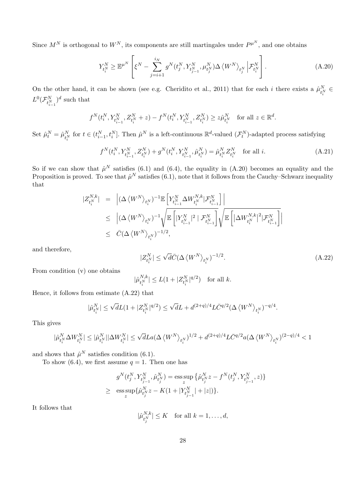Since  $M^N$  is orthogonal to  $W^N$ , its components are still martingales under  $P^{\mu^N}$ , and one obtains

$$
Y_{t_i^N}^N \ge \mathbb{E}^{\mu^N} \left[ \xi^N - \sum_{j=i+1}^{i_N} g^N(t_j^N, Y_{t_{j-1}^N}^N, \mu_{t_j^N}^N) \Delta \left\langle W^N \right\rangle_{t_j^N} \left| \mathcal{F}_{t_i^N}^N \right. \right]. \tag{A.20}
$$

On the other hand, it can be shown (see e.g. Cheridito et al., 2011) that for each *i* there exists a  $\hat{\mu}_{t_i^N}^N$  $L^0(\mathcal{F}^N_{t^N_{i-1}})$  $)^d$  such that

$$
f^{N}(t_{i}^{N}, Y_{t_{i-1}^{N}}^{N}, Z_{t_{i}^{N}}^{N} + z) - f^{N}(t_{i}^{N}, Y_{t_{i-1}^{N}}^{N}, Z_{t_{i}^{N}}^{N}) \ge z\hat{\mu}_{t_{i}^{N}}^{N} \text{ for all } z \in \mathbb{R}^{d}
$$

Set  $\hat{\mu}_t^N = \hat{\mu}_{t_i^N}^N$  for  $t \in (t_{i-1}^N, t_i^N]$ . Then  $\hat{\mu}^N$  is a left-continuous  $\mathbb{R}^d$ -valued  $(\mathcal{F}_t^N)$ -adapted process satisfying

$$
f^{N}(t_{i}^{N}, Y_{t_{i-1}^{N}}^{N}, Z_{t_{i}^{N}}^{N}) + g^{N}(t_{i}^{N}, Y_{t_{i-1}^{N}}^{N}, \hat{\mu}_{t_{i}^{N}}^{N}) = \hat{\mu}_{t_{i}^{N}}^{N} Z_{t_{i}^{N}}^{N} \text{ for all } i.
$$
 (A.21)

*.*

So if we can show that  $\hat{\mu}^N$  satisfies (6.1) and (6.4), the equality in (A.20) becomes an equality and the Proposition is proved. To see that  $\hat{\mu}^N$  satisfies (6.1), note that it follows from the Cauchy–Schwarz inequality that

$$
\begin{array}{lcl} |Z^{N,k}_{t^{N}_{i}}| &=& \left|(\Delta\left\langle W^{N}\right\rangle_{t^{N}_{i}})^{-1}\mathbb{E}\left[Y^{N}_{t^{N}_{i-1}}\Delta W^{N,k}_{t^{N}_{i}}|\mathcal{F}^{N}_{t^{N}_{i-1}}\right]\right| \\ & \leq & \left|(\Delta\left\langle W^{N}\right\rangle_{t^{N}_{i}})^{-1}\sqrt{\mathbb{E}\left[|Y^{N}_{t^{N}_{i-1}}|^{2} \mid \mathcal{F}^{N}_{t^{N}_{i-1}}\right]}\sqrt{\mathbb{E}\left[|\Delta W^{N,k}_{t^{N}_{i}}|^{2}|\mathcal{F}^{N}_{t^{N}_{i-1}}\right]}\right| \\ & \leq & \bar{C}(\Delta\left\langle W^{N}\right\rangle_{t^{N}_{i}})^{-1/2}, \end{array}
$$

and therefore,

$$
|Z_{t_i^N}^N| \le \sqrt{d}\bar{C} (\Delta \left\langle W^N \right\rangle_{t_i^N})^{-1/2}.
$$
\n(A.22)

From condition (v) one obtains

$$
|\hat{\mu}_{t_i^N}^{N,k}| \leq L(1+|Z_{t_i^N}^N|^{q/2}) \quad \text{for all } k.
$$

Hence, it follows from estimate (A.22) that

$$
|\hat{\mu}_{t_i^N}^N| \leq \sqrt{d}L(1+|Z_{t_i^N}^N|^{q/2}) \leq \sqrt{d}L + d^{(2+q)/4}L\bar{C}^{q/2}(\Delta \langle W^N\rangle_{t_i^N})^{-q/4}.
$$

This gives

$$
|\hat{\mu}^N_{t^N_i}\Delta W^N_{t^N_i}|\leq |\hat{\mu}^N_{t^N_i}||\Delta W^N_{t^N_i}|\leq \sqrt{d}La(\Delta\left\langle W^N\right\rangle_{t^N_i})^{1/2}+d^{(2+q)/4}L\bar{C}^{q/2}a(\Delta\left\langle W^N\right\rangle_{t^N_i})^{(2-q)/4}<1
$$

and shows that  $\hat{\mu}^N$  satisfies condition (6.1).

To show (6.4), we first assume  $q = 1$ . Then one has

$$
\begin{array}{ll} &g^N(t_j^N,Y^N_{t_{j-1}^N},\hat{\mu}^N_{t_j^N})=\hbox{ess}\sup_z\big\{\hat{\mu}^N_{t_j^N}z-f^N(t_j^N,Y^N_{t_{j-1}^N},z)\big\}\\ \geq &\hbox{ess}\sup_z\big\{\hat{\mu}^N_{t_j^N}z-K(1+|Y^N_{t_{j-1}^N}|+|z|)\big\}. \end{array}
$$

It follows that

$$
|\hat{\mu}_{t_j^N}^{N,k}| \le K \quad \text{for all } k = 1, \dots, d,
$$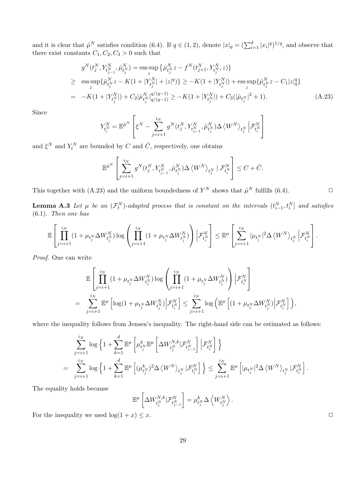and it is clear that  $\hat{\mu}^N$  satisfies condition (6.4). If  $q \in (1,2)$ , denote  $|x|_q = (\sum_{i=1}^d |x_i|^q)^{1/q}$ , and observe that there exist constants  $C_1, C_2, C_3 > 0$  such that

$$
g^{N}(t_{j}^{N}, Y_{t_{j-1}^{N}}^{N}, \hat{\mu}_{t_{j}^{N}}^{N}) = \underset{z}{\text{ess sup}} \left\{ \hat{\mu}_{t_{j}^{N}}^{N} z - f^{N}(t_{j+1}^{N}, Y_{t_{j}^{N}}^{N}, z) \right\}
$$
  
\n
$$
\geq \underset{z}{\text{ess sup}} \{ \hat{\mu}_{t_{j}^{N}}^{N} z - K(1 + |Y_{t_{j}^{N}}^{N}| + |z|^{q}) \} \geq -K(1 + |Y_{t_{j}^{N}}^{N}|) + \underset{z}{\text{ess sup}} \{ \hat{\mu}_{t_{j}^{N}}^{N} z - C_{1} |z|_{q}^{q} \}
$$
  
\n
$$
= -K(1 + |Y_{t_{j}^{N}}^{N}|) + C_{2} | \hat{\mu}_{t_{j}^{N}}^{N} |_{q/(q-1)}^{q/(q-1)} \geq -K(1 + |Y_{t_{j}^{N}}^{N}|) + C_{3} (| \hat{\mu}_{t_{j}^{N}} |^{2} + 1).
$$
 (A.23)

Since

$$
Y_{t_i^N}^N = \mathbb{E}^{\hat{\mu}^N} \left[ \xi^N - \sum_{j=i+1}^{i_N} g^N(t_j^N, Y_{t_{j-1}^N}^N, \hat{\mu}_{t_j^N}^N) \Delta \left\langle W^N \right\rangle_{t_j^N} \Big| \mathcal{F}_{t_i^N}^N \right]
$$

and  $\xi^N$  and  $Y_t^N$  are bounded by  $C$  and  $\overline{C}$ , respectively, one obtains

$$
\mathbb{E}^{\hat{\mu}^N}\left[\sum_{j=i+1}^{i_N}g^N(t_j^N,Y_{t_{j-1}^N}^N,\hat{\mu}_{t_j^N}^N)\Delta\left\langle W^N\right\rangle_{t_j^N}\mid\mathcal{F}_{t_i^N}^N\right]\leq C+\bar{C}.
$$

This together with (A.23) and the uniform boundedness of  $Y^N$  shows that  $\hat{\mu}^N$  fulfills (6.4).

**Lemma A.3** Let  $\mu$  be an  $(\mathcal{F}_t^N)$ -adapted process that is constant on the intervals  $(t_{i-1}^N, t_i^N]$  and satisfies (6.1)*. Then one has*

$$
\mathbb{E}\left[\prod_{j=i+1}^{i_N}(1+\mu_{t_j^N}\Delta W_{t_j^N}^N)\log\left(\prod_{j=i+1}^{i_N}(1+\mu_{t_j^N}\Delta W_{t_j^N}^N)\right)\Big| \mathcal{F}_{t_i^N}^N\right]\leq \mathbb{E}^{\mu}\left[\sum_{j=i+1}^{i_N}|\mu_{t_j^N}|^2\Delta\left\langle W^N\right\rangle_{t_j^N}\Big| \mathcal{F}_{t_i^N}^N\right].
$$

*Proof*. One can write

$$
\begin{split} &\mathbb{E}\left[\prod_{j=i+1}^{i_N}\left(1+\mu_{t_j^N}\Delta W_{t_j^N}^N\right)\log\left(\prod_{j=i+1}^{i_N}\left(1+\mu_{t_j^N}\Delta W_{t_j^N}^N\right)\right)\Big|\mathcal{F}_{t_i^N}^N\right]\\ &=\sum_{j=i+1}^{i_N}\mathbb{E}^{\mu}\left[\log(1+\mu_{t_j^N}\Delta W_{t_j^N}^N)\Big|\mathcal{F}_{t_i^N}^N\right]\leq \sum_{j=i+1}^{i_N}\log\left(\mathbb{E}^{\mu}\left[(1+\mu_{t_j^N}\Delta W_{t_j^N}^N)\Big|\mathcal{F}_{t_i^N}^N\right]\right), \end{split}
$$

where the inequality follows from Jensen's inequality. The right-hand side can be estimated as follows:

$$
\begin{split} &\sum_{j=i+1}^{i_N}\log\Big\{1+\sum_{k=1}^d\mathbb{E}^\mu\left[\mu^k_{t^N_j}\mathbb{E}^\mu\left[\Delta W^{N,k}_{t^N_j}|\mathcal{F}^N_{t^N_{j-1}}\right]\Big|\mathcal{F}^N_{t^N_i}\right]\Big\}\\ &=\quad\sum_{j=i+1}^{i_N}\log\Big\{1+\sum_{k=1}^d\mathbb{E}^\mu\left[(\mu^k_{t^N_j})^2\Delta\left\langle W^N\right\rangle_{t^N_j}|\mathcal{F}^N_{t^N_i}\right]\Big\}\leq \sum_{j=i+1}^{i_N}\mathbb{E}^\mu\left[|\mu_{t^N_j}|^2\Delta\left\langle W^N\right\rangle_{t^N_j}|\mathcal{F}^N_{t^N_i}\right]. \end{split}
$$

The equality holds because

$$
\mathbb{E}^{\mu}\left[\Delta W_{t_j^N}^{N,k}|\mathcal{F}_{t_{j-1}^N}^N\right] = \mu_{t_j^N}^k \Delta \left\langle W_{t_j^N}^N\right\rangle.
$$

For the inequality we used  $\log(1 + x) \leq x$ .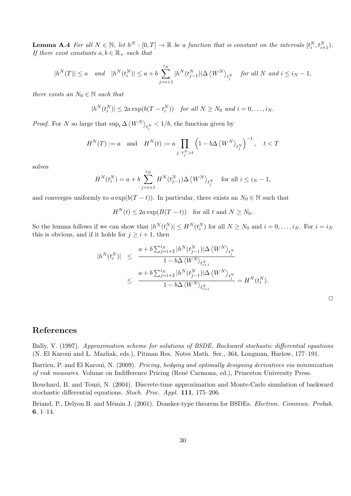**Lemma A.4** For all  $N \in \mathbb{N}$ , let  $h^N : [0,T] \to \mathbb{R}$  be a function that is constant on the intervals  $[t_i^N, t_{i+1}^N)$ . *If there exist constants*  $a, b \in \mathbb{R}_+$  *such that* 

$$
|h^N(T)| \le a \quad \text{and} \quad |h^N(t_i^N)| \le a + b \sum_{j=i+1}^{i_N} |h^N(t_{j-1}^N)| \Delta \left\langle W^N \right\rangle_{t_j^N} \quad \text{for all } N \text{ and } i \le i_N - 1,
$$

*there exists an*  $N_0 \in \mathbb{N}$  *such that* 

$$
|h^N(t_i^N)| \le 2a \exp(b(T - t_i^N)) \quad \text{for all } N \ge N_0 \text{ and } i = 0, \dots, i_N.
$$

*Proof.* For *N* so large that  $\sup_i \Delta \langle W^N \rangle_{t_i^N} < 1/b$ , the function given by

$$
H^{N}(T) := a \text{ and } H^{N}(t) := a \prod_{j+t_{j}^{N}>t} \left(1 - b\Delta \left\langle W^{N}\right\rangle_{t_{j}^{N}}\right)^{-1}, \quad t < T
$$

solves

$$
H^N(t_i^N) = a + b \sum_{j=i+1}^{i_N} H^N(t_{j-1}^N) \Delta \left\langle W^N \right\rangle_{t_j^N} \quad \text{for all } i \le i_N - 1,
$$

and converges uniformly to  $a \exp(b(T-t))$ . In particular, there exists an  $N_0 \in \mathbb{N}$  such that

 $H^N(t) \leq 2a \exp(B(T-t))$  for all *t* and  $N \geq N_0$ .

So the lemma follows if we can show that  $|h^N(t_i^N)| \leq H^N(t_i^N)$  for all  $N \geq N_0$  and  $i = 0, \ldots, i_N$ . For  $i = i_N$ this is obvious, and if it holds for  $j \geq i + 1$ , then

$$
\begin{array}{rcl} |h^N(t^N_i)|&\leq&\displaystyle\frac{a+b\sum_{j=i+2}^{i_N}|h^N(t^N_{j-1})|\Delta\left\langle W^N\right\rangle_{t^N_j}}{1-b\Delta\left\langle W^N\right\rangle_{t^N_{i+1}}}\\&\leq&\displaystyle\frac{a+b\sum_{j=i+2}^{i_N}|h^N(t^N_{j-1})|\Delta\left\langle W^N\right\rangle_{t^N_j}}{1-b\Delta\left\langle W^N\right\rangle_{t^N_{i+1}}}=H^N(t^N_i).\end{array}
$$

# **References**

Bally, V. (1997). *Approximation scheme for solutions of BSDE. Backward stochastic differential equations* (N. El Karoui and L. Mazliak, eds.), Pitman Res. Notes Math. Ser., 364, Longman, Harlow, 177–191.

Barrieu, P. and El Karoui, N. (2009). *Pricing, hedging and optimally designing derivatives via minimization of risk measures*. Volume on Indifference Pricing (Ren´e Carmona, ed.), Princeton University Press.

Bouchard, B. and Touzi, N. (2004). Discrete-time approximation and Monte-Carlo simulation of backward stochastic differential equations. *Stoch. Proc. Appl.* **111**, 175–206.

Briand, P., Delyon B. and Mémin J. (2001). Donsker-type theorem for BSDEs. *Electron. Commun. Probab.* **6**, 1–14.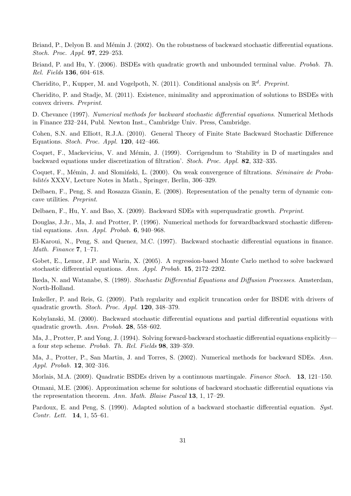Briand, P., Delyon B. and Mémin J. (2002). On the robustness of backward stochastic differential equations. *Stoch. Proc. Appl.* **97**, 229–253.

Briand, P. and Hu, Y. (2006). BSDEs with quadratic growth and unbounded terminal value. *Probab. Th. Rel. Fields* **136**, 604–618.

Cheridito, P., Kupper, M. and Vogelpoth, N. (2011). Conditional analysis on R *d* . *Preprint.*

Cheridito, P. and Stadje, M. (2011). Existence, minimality and approximation of solutions to BSDEs with convex drivers. *Preprint*.

D. Chevance (1997). *Numerical methods for backward stochastic differential equations*. Numerical Methods in Finance 232–244, Publ. Newton Inst., Cambridge Univ. Press, Cambridge.

Cohen, S.N. and Elliott, R.J.A. (2010). General Theory of Finite State Backward Stochastic Difference Equations. *Stoch. Proc. Appl.* **120**, 442–466.

Coquet, F., Mackevicius, V. and Mémin, J. (1999). Corrigendum to 'Stability in D of martingales and backward equations under discretization of filtration'. *Stoch. Proc. Appl.* **82**, 332–335.

Coquet, F., Mémin, J. and Slomiński, L. (2000). On weak convergence of filtrations. *Séminaire de Probabilités* XXXV, Lecture Notes in Math., Springer, Berlin, 306–329.

Delbaen, F., Peng, S. and Rosazza Gianin, E. (2008). Representation of the penalty term of dynamic concave utilities. *Preprint*.

Delbaen, F., Hu, Y. and Bao, X. (2009). Backward SDEs with superquadratic growth. *Preprint*.

Douglas, J.Jr., Ma, J. and Protter, P. (1996). Numerical methods for forwardbackward stochastic differential equations. *Ann. Appl. Probab.* **6**, 940–968.

El-Karoui, N., Peng, S. and Quenez, M.C. (1997). Backward stochastic differential equations in finance. *Math. Finance* **7**, 1–71.

Gobet, E., Lemor, J.P. and Warin, X. (2005). A regression-based Monte Carlo method to solve backward stochastic differential equations. *Ann. Appl. Probab.* **15**, 2172–2202.

Ikeda, N. and Watanabe, S. (1989). *Stochastic Differential Equations and Diffusion Processes*. Amsterdam, North-Holland.

Imkeller, P. and Reis, G. (2009). Path regularity and explicit truncation order for BSDE with drivers of quadratic growth. *Stoch. Proc. Appl.* **120**, 348–379.

Kobylanski, M. (2000). Backward stochastic differential equations and partial differential equations with quadratic growth. *Ann. Probab.* **28**, 558–602.

Ma, J., Protter, P. and Yong, J. (1994). Solving forward-backward stochastic differential equations explicitly a four step scheme. *Probab. Th. Rel. Fields* **98**, 339–359.

Ma, J., Protter, P., San Martin, J. and Torres, S. (2002). Numerical methods for backward SDEs. *Ann. Appl. Probab.* **12**, 302–316.

Morlais, M.A. (2009). Quadratic BSDEs driven by a continuous martingale. *Finance Stoch.* **13**, 121–150.

Otmani, M.E. (2006). Approximation scheme for solutions of backward stochastic differential equations via the representation theorem. *Ann. Math. Blaise Pascal* **13**, 1, 17–29.

Pardoux, E. and Peng, S. (1990). Adapted solution of a backward stochastic differential equation. *Syst. Contr. Lett.* **14**, 1, 55–61.